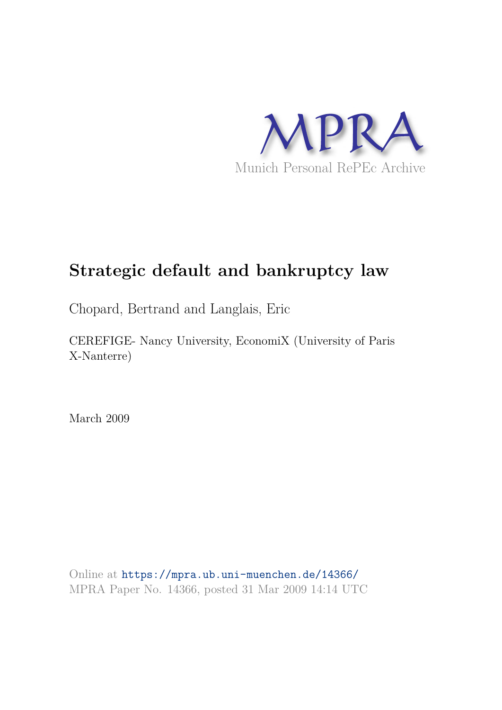

# **Strategic default and bankruptcy law**

Chopard, Bertrand and Langlais, Eric

CEREFIGE- Nancy University, EconomiX (University of Paris X-Nanterre)

March 2009

Online at https://mpra.ub.uni-muenchen.de/14366/ MPRA Paper No. 14366, posted 31 Mar 2009 14:14 UTC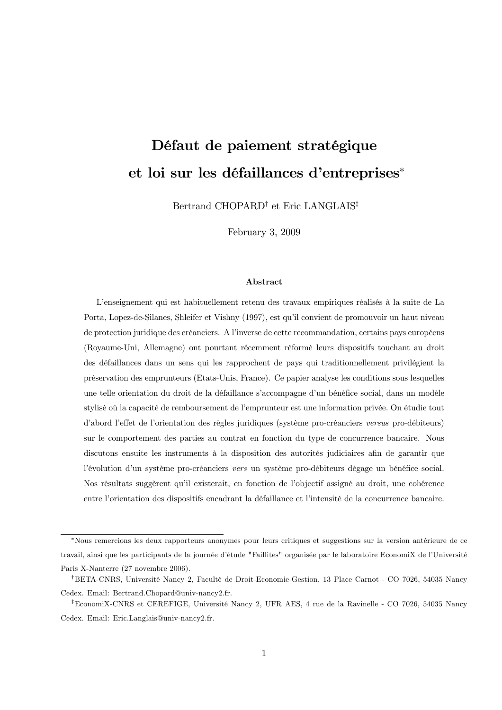# Défaut de paiement stratégique et loi sur les défaillances d'entreprises<sup>\*</sup>

Bertrand CHOPARD<sup>†</sup> et Eric LANGLAIS<sup>‡</sup>

February  $3, 2009$ 

### Abstract

L'enseignement qui est habituellement retenu des travaux empiriques réalisés à la suite de La Porta, Lopez-de-Silanes, Shleifer et Vishny (1997), est qu'il convient de promouvoir un haut niveau de protection juridique des créanciers. A l'inverse de cette recommandation, certains pays européens (Royaume-Uni, Allemagne) ont pourtant récemment réformé leurs dispositifs touchant au droit des défaillances dans un sens qui les rapprochent de pays qui traditionnellement privilégient la préservation des emprunteurs (Etats-Unis, France). Ce papier analyse les conditions sous lesquelles une telle orientation du droit de la défaillance s'accompagne d'un bénéfice social, dans un modèle stylisé où la capacité de remboursement de l'emprunteur est une information privée. On étudie tout d'abord l'effet de l'orientation des règles juridiques (système pro-créanciers versus pro-débiteurs) sur le comportement des parties au contrat en fonction du type de concurrence bancaire. Nous discutons ensuite les instruments à la disposition des autorités judiciaires afin de garantir que l'évolution d'un système pro-créanciers vers un système pro-débiteurs dégage un bénéfice social. Nos résultats suggèrent qu'il existerait, en fonction de l'objectif assigné au droit, une cohérence entre l'orientation des dispositifs encadrant la défaillance et l'intensité de la concurrence bancaire.

<sup>\*</sup>Nous remercions les deux rapporteurs anonymes pour leurs critiques et suggestions sur la version antérieure de ce travail, ainsi que les participants de la journée d'étude "Faillites" organisée par le laboratoire EconomiX de l'Université Paris X-Nanterre (27 novembre 2006).

<sup>&</sup>lt;sup>†</sup>BETA-CNRS, Université Nancy 2, Faculté de Droit-Economie-Gestion, 13 Place Carnot - CO 7026, 54035 Nancy Cedex. Email: Bertrand.Chopard@univ-nancy2.fr.

<sup>&</sup>lt;sup>‡</sup>EconomiX-CNRS et CEREFIGE, Université Nancy 2, UFR AES, 4 rue de la Ravinelle - CO 7026, 54035 Nancy Cedex. Email: Eric.Langlais@univ-nancy2.fr.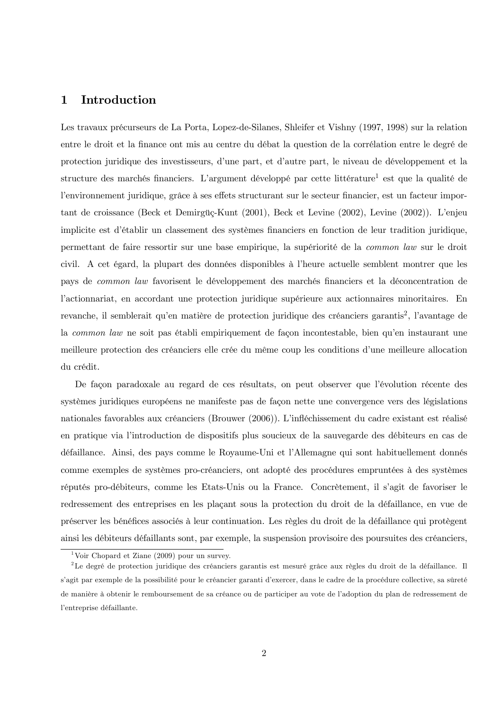#### $\mathbf{1}$ Introduction

Les travaux précurseurs de La Porta, Lopez-de-Silanes, Shleifer et Vishny (1997, 1998) sur la relation entre le droit et la finance ont mis au centre du débat la question de la corrélation entre le degré de protection juridique des investisseurs, d'une part, et d'autre part, le niveau de développement et la structure des marchés financiers. L'argument développé par cette littérature<sup>1</sup> est que la qualité de l'environnement juridique, grâce à ses effets structurant sur le secteur financier, est un facteur important de croissance (Beck et Demirgüç-Kunt (2001), Beck et Levine (2002), Levine (2002)). L'enjeu implicite est d'établir un classement des systèmes financiers en fonction de leur tradition juridique, permettant de faire ressortir sur une base empirique, la supériorité de la *common law* sur le droit civil. A cet égard, la plupart des données disponibles à l'heure actuelle semblent montrer que les pays de *common law* favorisent le développement des marchés financiers et la déconcentration de l'actionnariat, en accordant une protection juridique supérieure aux actionnaires minoritaires. En revanche, il semblerait qu'en matière de protection juridique des créanciers garantis<sup>2</sup>, l'avantage de la *common law* ne soit pas établi empiriquement de façon incontestable, bien qu'en instaurant une meilleure protection des créanciers elle crée du même coup les conditions d'une meilleure allocation du crédit.

De façon paradoxale au regard de ces résultats, on peut observer que l'évolution récente des systèmes juridiques européens ne manifeste pas de façon nette une convergence vers des législations nationales favorables aux créanciers (Brouwer (2006)). L'infléchissement du cadre existant est réalisé en pratique via l'introduction de dispositifs plus soucieux de la sauvegarde des débiteurs en cas de défaillance. Ainsi, des pays comme le Royaume-Uni et l'Allemagne qui sont habituellement donnés comme exemples de systèmes pro-créanciers, ont adopté des procédures empruntées à des systèmes réputés pro-débiteurs, comme les Etats-Unis ou la France. Concrètement, il s'agit de favoriser le redressement des entreprises en les plaçant sous la protection du droit de la défaillance, en vue de préserver les bénéfices associés à leur continuation. Les règles du droit de la défaillance qui protègent ainsi les débiteurs défaillants sont, par exemple, la suspension provisoire des poursuites des créanciers,

<sup>&</sup>lt;sup>1</sup>Voir Chopard et Ziane (2009) pour un survey.

<sup>&</sup>lt;sup>2</sup>Le degré de protection juridique des créanciers garantis est mesuré grâce aux règles du droit de la défaillance. Il s'agit par exemple de la possibilité pour le créancier garanti d'exercer, dans le cadre de la procédure collective, sa sûreté de manière à obtenir le remboursement de sa créance ou de participer au vote de l'adoption du plan de redressement de l'entreprise défaillante.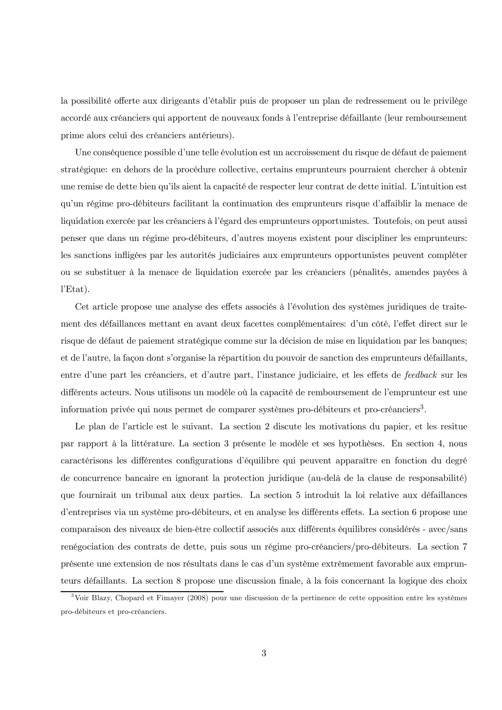la possibilité offerte aux dirigeants d'établir puis de proposer un plan de redressement ou le privilège accordé aux créanciers qui apportent de nouveaux fonds à l'entreprise défaillante (leur remboursement prime alors celui des créanciers antérieurs).

Une conséquence possible d'une telle évolution est un accroissement du risque de défaut de paiement stratégique: en debors de la procédure collective, certains emprunteurs pourraient chercher à obtenir une remise de dette bien qu'ils aient la capacité de respecter leur contrat de dette initial. L'intuition est qu'un régime pro-débiteurs facilitant la continuation des emprunteurs risque d'affaiblir la menace de liquidation exercée par les créanciers à l'égard des emprunteurs opportunistes. Toutefois, on peut aussi penser que dans un régime pro-débiteurs, d'autres moyens existent pour discipliner les emprunteurs: les sanctions infligées par les autorités judiciaires aux emprunteurs opportunistes peuvent compléter ou se substituer à la menace de liquidation exercée par les créanciers (pénalités, amendes payées à  $l'Etat$ ).

Cet article propose une analyse des effets associés à l'évolution des systèmes juridiques de traitement des défaillances mettant en avant deux facettes complémentaires: d'un côté, l'effet direct sur le risque de défaut de paiement stratégique comme sur la décision de mise en liquidation par les banques; et de l'autre, la façon dont s'organise la répartition du pouvoir de sanction des emprunteurs défaillants, entre d'une part les créanciers, et d'autre part, l'instance judiciaire, et les effets de feedback sur les différents acteurs. Nous utilisons un modèle où la capacité de remboursement de l'emprunteur est une information privée qui nous permet de comparer systèmes pro-débiteurs et pro-créanciers<sup>3</sup>.

Le plan de l'article est le suivant. La section 2 discute les motivations du papier, et les resitue par rapport à la littérature. La section 3 présente le modèle et ses hypothèses. En section 4, nous caractérisons les différentes configurations d'équilibre qui peuvent apparaître en fonction du degré de concurrence bancaire en ignorant la protection juridique (au-delà de la clause de responsabilité) que fournirait un tribunal aux deux parties. La section 5 introduit la loi relative aux défaillances d'entreprises via un système pro-débiteurs, et en analyse les différents effets. La section 6 propose une comparaison des niveaux de bien-être collectif associés aux différents équilibres considérés - avec/sans renégociation des contrats de dette, puis sous un régime pro-créanciers/pro-débiteurs. La section 7 présente une extension de nos résultats dans le cas d'un système extrêmement favorable aux emprunteurs défaillants. La section 8 propose une discussion finale, à la fois concernant la logique des choix

<sup>&</sup>lt;sup>3</sup>Voir Blazy, Chopard et Fimayer (2008) pour une discussion de la pertinence de cette opposition entre les systèmes pro-débiteurs et pro-créanciers.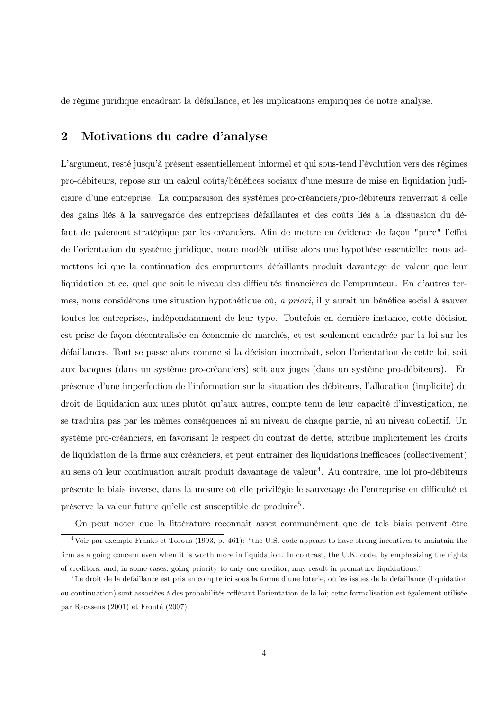de régime juridique encadrant la défaillance, et les implications empiriques de notre analyse.

#### $\overline{2}$ Motivations du cadre d'analyse

L'argument, resté jusqu'à présent essentiellement informel et qui sous-tend l'évolution vers des régimes pro-débiteurs, repose sur un calcul coûts/bénéfices sociaux d'une mesure de mise en liquidation judiciaire d'une entreprise. La comparaison des systèmes pro-créanciers/pro-débiteurs renverrait à celle des gains liés à la sauvegarde des entreprises défaillantes et des coûts liés à la dissuasion du défaut de paiement stratégique par les créanciers. Afin de mettre en évidence de façon "pure" l'effet de l'orientation du système juridique, notre modèle utilise alors une hypothèse essentielle: nous admettons ici que la continuation des emprunteurs défaillants produit davantage de valeur que leur liquidation et ce, quel que soit le niveau des difficultés financières de l'emprunteur. En d'autres termes, nous considérons une situation hypothétique où, a priori, il y aurait un bénéfice social à sauver toutes les entreprises, indépendamment de leur type. Toutefois en dernière instance, cette décision est prise de façon décentralisée en économie de marchés, et est seulement encadrée par la loi sur les défaillances. Tout se passe alors comme si la décision incombait, selon l'orientation de cette loi, soit aux banques (dans un système pro-créanciers) soit aux juges (dans un système pro-débiteurs). En présence d'une imperfection de l'information sur la situation des débiteurs, l'allocation (implicite) du droit de liquidation aux unes plutôt qu'aux autres, compte tenu de leur capacité d'investigation, ne se traduira pas par les mêmes conséquences ni au niveau de chaque partie, ni au niveau collectif. Un système pro-créanciers, en favorisant le respect du contrat de dette, attribue implicitement les droits de liquidation de la firme aux créanciers, et peut entraîner des liquidations inefficaces (collectivement) au sens où leur continuation aurait produit davantage de valeur<sup>4</sup>. Au contraire, une loi pro-débiteurs présente le biais inverse, dans la mesure où elle privilégie le sauvetage de l'entreprise en difficulté et préserve la valeur future qu'elle est susceptible de produire<sup>5</sup>.

On peut noter que la littérature reconnait assez communément que de tels biais peuvent être

<sup>&</sup>lt;sup>4</sup>Voir par exemple Franks et Torous (1993, p. 461): "the U.S. code appears to have strong incentives to maintain the firm as a going concern even when it is worth more in liquidation. In contrast, the U.K. code, by emphasizing the rights of creditors, and, in some cases, going priority to only one creditor, may result in premature liquidations."

 ${}^{5}$ Le droit de la défaillance est pris en compte ici sous la forme d'une loterie, où les issues de la défaillance (liquidation ou continuation) sont associées à des probabilités reflétant l'orientation de la loi; cette formalisation est également utilisée par Recasens (2001) et Frouté (2007).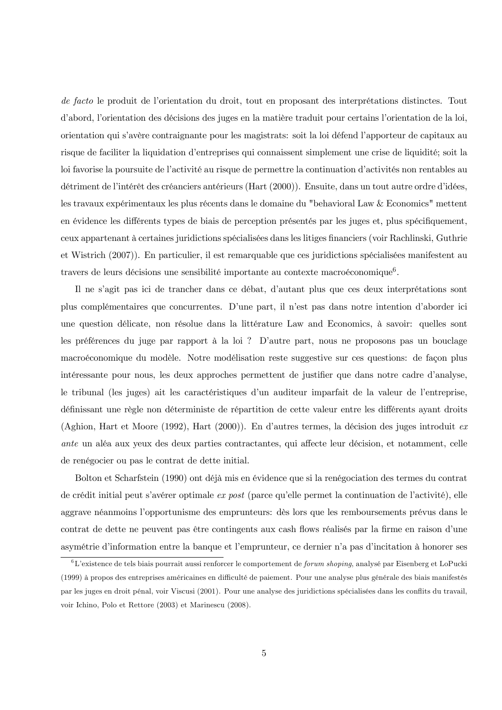de facto le produit de l'orientation du droit, tout en proposant des interprétations distinctes. Tout d'abord, l'orientation des décisions des juges en la matière traduit pour certains l'orientation de la loi, orientation qui s'avère contraignante pour les magistrats: soit la loi défend l'apporteur de capitaux au risque de faciliter la liquidation d'entreprises qui connaissent simplement une crise de liquidité; soit la loi favorise la poursuite de l'activité au risque de permettre la continuation d'activités non rentables au détriment de l'intérêt des créanciers antérieurs (Hart (2000)). Ensuite, dans un tout autre ordre d'idées, les travaux expérimentaux les plus récents dans le domaine du "behavioral Law & Economics" mettent en évidence les différents types de biais de perception présentés par les juges et, plus spécifiquement, ceux appartenant à certaines juridictions spécialisées dans les litiges financiers (voir Rachlinski, Guthrie et Wistrich (2007). En particulier, il est remarquable que ces juridictions spécialisées manifestent au travers de leurs décisions une sensibilité importante au contexte macroéconomique<sup>6</sup>.

Il ne s'agit pas ici de trancher dans ce débat, d'autant plus que ces deux interprétations sont plus complémentaires que concurrentes. D'une part, il n'est pas dans notre intention d'aborder ici une question délicate, non résolue dans la littérature Law and Economics, à savoir: quelles sont les préférences du juge par rapport à la loi ? D'autre part, nous ne proposons pas un bouclage macroéconomique du modèle. Notre modélisation reste suggestive sur ces questions: de façon plus intéressante pour nous, les deux approches permettent de justifier que dans notre cadre d'analyse, le tribunal (les juges) ait les caractéristiques d'un auditeur imparfait de la valeur de l'entreprise, définissant une règle non déterministe de répartition de cette valeur entre les différents ayant droits (Aghion, Hart et Moore (1992), Hart (2000)). En d'autres termes, la décision des juges introduit ex *ante* un aléa aux yeux des deux parties contractantes, qui affecte leur décision, et notamment, celle de renégocier ou pas le contrat de dette initial.

Bolton et Scharfstein (1990) ont déjà mis en évidence que si la renégociation des termes du contrat de crédit initial peut s'avérer optimale ex post (parce qu'elle permet la continuation de l'activité), elle aggrave néanmoins l'opportunisme des emprunteurs: dès lors que les remboursements prévus dans le contrat de dette ne peuvent pas être contingents aux cash flows réalisés par la firme en raison d'une asymétrie d'information entre la banque et l'emprunteur, ce dernier n'a pas d'incitation à honorer ses

 ${}^6L$ 'existence de tels biais pourrait aussi renforcer le comportement de *forum shoping*, analysé par Eisenberg et LoPucki (1999) à propos des entreprises américaines en difficulté de paiement. Pour une analyse plus générale des biais manifestés par les juges en droit pénal, voir Viscusi (2001). Pour une analyse des juridictions spécialisées dans les conflits du travail, voir Ichino, Polo et Rettore (2003) et Marinescu (2008).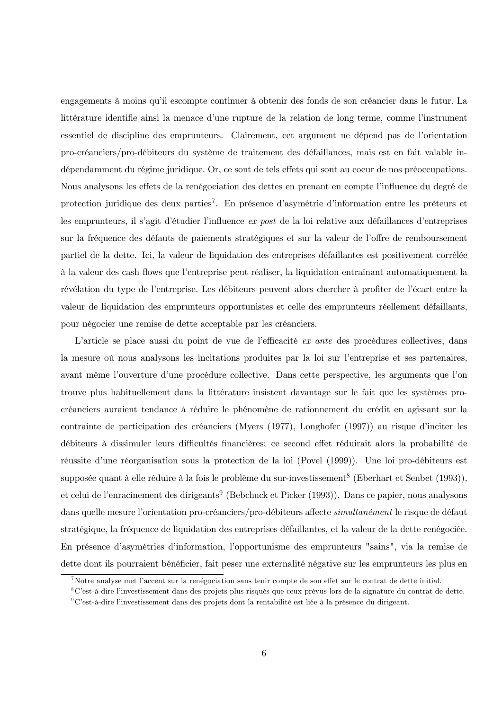engagements à moins qu'il escompte continuer à obtenir des fonds de son créancier dans le futur. La littérature identifie ainsi la menace d'une rupture de la relation de long terme, comme l'instrument essentiel de discipline des emprunteurs. Clairement, cet argument ne dépend pas de l'orientation pro-créanciers/pro-débiteurs du système de traitement des défaillances, mais est en fait valable indépendamment du régime juridique. Or, ce sont de tels effets qui sont au coeur de nos préoccupations. Nous analysons les effets de la renégociation des dettes en prenant en compte l'influence du degré de protection juridique des deux parties<sup>7</sup>. En présence d'asymétrie d'information entre les prêteurs et les emprunteurs, il s'agit d'étudier l'influence ex post de la loi relative aux défaillances d'entreprises sur la fréquence des défauts de paiements stratégiques et sur la valeur de l'offre de remboursement partiel de la dette. Ici, la valeur de liquidation des entreprises défaillantes est positivement corrélée à la valeur des cash flows que l'entreprise peut réaliser, la liquidation entraînant automatiquement la révélation du type de l'entreprise. Les débiteurs peuvent alors chercher à profiter de l'écart entre la valeur de liquidation des emprunteurs opportunistes et celle des emprunteurs réellement défaillants, pour négocier une remise de dette acceptable par les créanciers.

L'article se place aussi du point de vue de l'efficacité ex ante des procédures collectives, dans la mesure où nous analysons les incitations produites par la loi sur l'entreprise et ses partenaires, avant même l'ouverture d'une procédure collective. Dans cette perspective, les arguments que l'on trouve plus habituellement dans la littérature insistent davantage sur le fait que les systèmes procréanciers auraient tendance à réduire le phénomène de rationnement du crédit en agissant sur la contrainte de participation des créanciers (Myers (1977), Longhofer (1997)) au risque d'inciter les débiteurs à dissimuler leurs difficultés financières; ce second effet réduirait alors la probabilité de réussite d'une réorganisation sous la protection de la loi (Povel (1999)). Une loi pro-débiteurs est supposée quant à elle réduire à la fois le problème du sur-investissement<sup>8</sup> (Eberhart et Senbet (1993)), et celui de l'enracinement des dirigeants<sup>9</sup> (Bebchuck et Picker  $(1993)$ ). Dans ce papier, nous analysons dans quelle mesure l'orientation pro-créanciers/pro-débiteurs affecte simultanément le risque de défaut stratégique, la fréquence de liquidation des entreprises défaillantes, et la valeur de la dette renégociée. En présence d'asymétries d'information, l'opportunisme des emprunteurs "sains", via la remise de dette dont ils pourraient bénéficier, fait peser une externalité négative sur les emprunteurs les plus en

 $7$ Notre analyse met l'accent sur la renégociation sans tenir compte de son effet sur le contrat de dette initial.

<sup>&</sup>lt;sup>8</sup>C'est-à-dire l'investissement dans des projets plus risqués que ceux prévus lors de la signature du contrat de dette.  $\rm{^{9}C}$ 'est-à-dire l'investissement dans des projets dont la rentabilité est liée à la présence du dirigeant.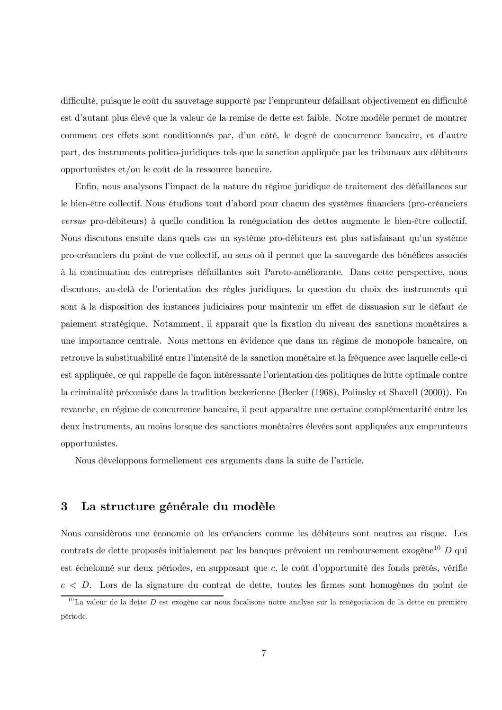difficulté, puisque le coût du sauvetage supporté par l'emprunteur défaillant objectivement en difficulté est d'autant plus élevé que la valeur de la remise de dette est faible. Notre modèle permet de montrer comment ces effets sont conditionnés par, d'un côté, le degré de concurrence bancaire, et d'autre part, des instruments politico-juridiques tels que la sanction appliquée par les tribunaux aux débiteurs opportunistes et/ou le coût de la ressource bancaire.

Enfin, nous analysons l'impact de la nature du régime juridique de traitement des défaillances sur le bien-être collectif. Nous étudions tout d'abord pour chacun des systèmes financiers (pro-créanciers versus pro-débiteurs) à quelle condition la renégociation des dettes augmente le bien-être collectif. Nous discutons ensuite dans quels cas un système pro-débiteurs est plus satisfaisant qu'un système pro-créanciers du point de vue collectif, au sens où il permet que la sauvegarde des bénéfices associés à la continuation des entreprises défaillantes soit Pareto-améliorante. Dans cette perspective, nous discutons, au-delà de l'orientation des règles juridiques, la question du choix des instruments qui sont à la disposition des instances judiciaires pour maintenir un effet de dissuasion sur le défaut de paiement stratégique. Notamment, il apparait que la fixation du niveau des sanctions monétaires a une importance centrale. Nous mettons en évidence que dans un régime de monopole bancaire, on retrouve la substituabilité entre l'intensité de la sanction monétaire et la fréquence avec laquelle celle-ci est appliquée, ce qui rappelle de façon intéressante l'orientation des politiques de lutte optimale contre la criminalité préconisée dans la tradition beckerienne (Becker (1968), Polinsky et Shavell (2000)). En revanche, en régime de concurrence bancaire, il peut apparaître une certaine complémentarité entre les deux instruments, au moins lorsque des sanctions monétaires élevées sont appliquées aux emprunteurs opportunistes.

Nous développons formellement ces arguments dans la suite de l'article.

#### $\bf{3}$ La structure générale du modèle

Nous considèrons une économie où les créanciers comme les débiteurs sont neutres au risque. Les contrats de dette proposés initialement par les banques prévoient un remboursement exogène<sup>10</sup> D qui est échelonné sur deux périodes, en supposant que c, le coût d'opportunité des fonds prêtés, vérifie  $c < D$ . Lors de la signature du contrat de dette, toutes les firmes sont homogènes du point de

<sup>&</sup>lt;sup>10</sup>La valeur de la dette  $D$  est exogène car nous focalisons notre analyse sur la renégociation de la dette en première période.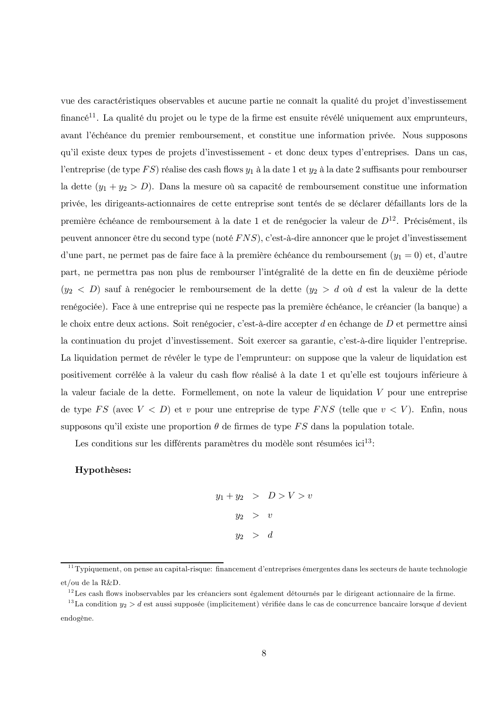vue des caractéristiques observables et aucune partie ne connaît la qualité du projet d'investissement financé<sup>11</sup>. La qualité du projet ou le type de la firme est ensuite révélé uniquement aux emprunteurs, avant l'échéance du premier remboursement, et constitue une information privée. Nous supposons qu'il existe deux types de projets d'investissement - et donc deux types d'entreprises. Dans un cas, l'entreprise (de type FS) réalise des cash flows  $y_1$  à la date 1 et  $y_2$  à la date 2 suffisants pour rembourser la dette  $(y_1 + y_2 > D)$ . Dans la mesure où sa capacité de remboursement constitue une information privée, les dirigeants-actionnaires de cette entreprise sont tentés de se déclarer défaillants lors de la première échéance de remboursement à la date 1 et de renégocier la valeur de  $D^{12}$ . Précisément, ils peuvent annoncer être du second type (noté FNS), c'est-à-dire annoncer que le projet d'investissement d'une part, ne permet pas de faire face à la première échéance du remboursement  $(y_1 = 0)$  et, d'autre part, ne permettra pas non plus de rembourser l'intégralité de la dette en fin de deuxième période  $(y_2 < D)$  sauf à renégocier le remboursement de la dette  $(y_2 > d)$  où d est la valeur de la dette renégociée). Face à une entreprise qui ne respecte pas la première échéance, le créancier (la banque) a le choix entre deux actions. Soit renégocier, c'est-à-dire accepter d'en échange de  $D$  et permettre ainsi la continuation du projet d'investissement. Soit exercer sa garantie, c'est-à-dire liquider l'entreprise. La liquidation permet de révéler le type de l'emprunteur: on suppose que la valeur de liquidation est positivement corrélée à la valeur du cash flow réalisé à la date 1 et qu'elle est toujours inférieure à la valeur faciale de la dette. Formellement, on note la valeur de liquidation V pour une entreprise de type FS (avec  $V < D$ ) et v pour une entreprise de type FNS (telle que  $v < V$ ). Enfin, nous supposons qu'il existe une proportion  $\theta$  de firmes de type FS dans la population totale.

Les conditions sur les différents paramètres du modèle sont résumées i $ci^{13}$ :

### Hypothèses:

 $y_1 + y_2 > D > V > v$  $y_2 > v$  $y_2 > d$ 

 $^{11}$ Typiquement, on pense au capital-risque: financement d'entreprises émergentes dans les secteurs de haute technologie et/ou de la R&D.

 $^{12}$ Les cash flows inobservables par les créanciers sont également détournés par le dirigeant actionnaire de la firme.

<sup>&</sup>lt;sup>13</sup>La condition  $y_2 > d$  est aussi supposée (implicitement) vérifiée dans le cas de concurrence bancaire lorsque d devient endogène.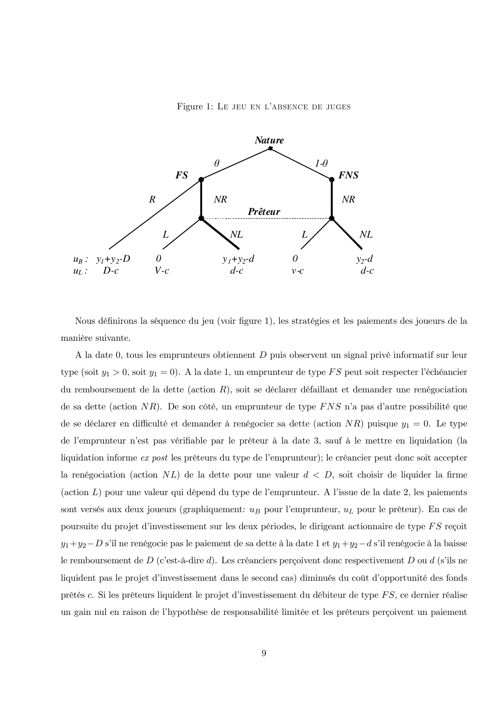Figure 1: LE JEU EN L'ABSENCE DE JUGES



Nous définirons la séquence du jeu (voir figure 1), les stratégies et les paiements des joueurs de la manière suivante.

A la date 0, tous les emprunteurs obtiennent  $D$  puis observent un signal privé informatif sur leur type (soit  $y_1 > 0$ , soit  $y_1 = 0$ ). A la date 1, un emprunteur de type FS peut soit respecter l'échéancier du remboursement de la dette (action  $R$ ), soit se déclarer défaillant et demander une renégociation de sa dette (action NR). De son côté, un emprunteur de type FNS n'a pas d'autre possibilité que de se déclarer en difficulté et demander à renégocier sa dette (action NR) puisque  $y_1 = 0$ . Le type de l'emprunteur n'est pas vérifiable par le prêteur à la date 3, sauf à le mettre en liquidation (la liquidation informe ex post les prêteurs du type de l'emprunteur); le créancier peut donc soit accepter la renégociation (action NL) de la dette pour une valeur  $d < D$ , soit choisir de liquider la firme (action  $L$ ) pour une valeur qui dépend du type de l'emprunteur. A l'issue de la date 2, les paiements sont versés aux deux joueurs (graphiquement:  $u_B$  pour l'emprunteur,  $u_L$  pour le prêteur). En cas de poursuite du projet d'investissement sur les deux périodes, le dirigeant actionnaire de type FS reçoit  $y_1 + y_2 - D$  s'il ne renégocie pas le paiement de sa dette à la date 1 et  $y_1 + y_2 - d$  s'il renégocie à la baisse le remboursement de  $D$  (c'est-à-dire d). Les créanciers perçoivent donc respectivement  $D$  ou d (s'ils ne liquident pas le projet d'investissement dans le second cas) diminués du coût d'opportunité des fonds prêtés c. Si les prêteurs liquident le projet d'investissement du débiteur de type FS, ce dernier réalise un gain nul en raison de l'hypothèse de responsabilité limitée et les prêteurs perçoivent un paiement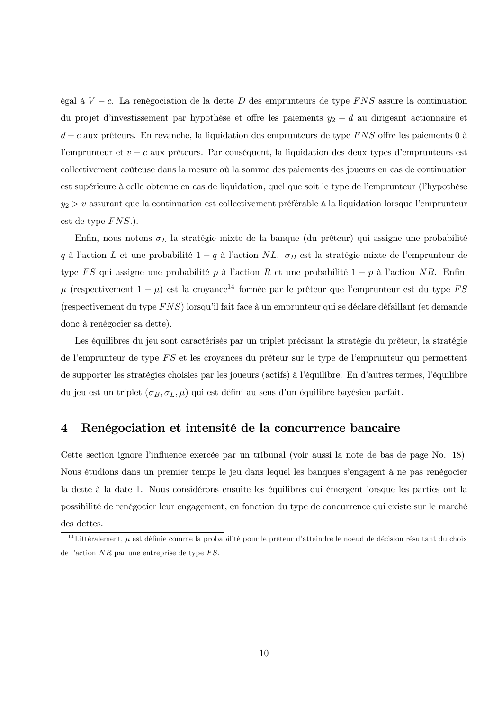égal à  $V - c$ . La renégociation de la dette D des emprunteurs de type FNS assure la continuation du projet d'investissement par hypothèse et offre les paiements  $y_2 - d$  au dirigeant actionnaire et  $d-c$  aux prêteurs. En revanche, la liquidation des emprunteurs de type FNS offre les paiements 0 à l'emprunteur et  $v - c$  aux prêteurs. Par conséquent, la liquidation des deux types d'emprunteurs est collectivement coûteuse dans la mesure où la somme des paiements des joueurs en cas de continuation est supérieure à celle obtenue en cas de liquidation, quel que soit le type de l'emprunteur (l'hypothèse  $y_2 > v$  assurant que la continuation est collectivement préférable à la liquidation lorsque l'emprunteur est de type  $FNS.$ ).

Enfin, nous notons  $\sigma_L$  la stratégie mixte de la banque (du prêteur) qui assigne une probabilité q à l'action L et une probabilité  $1-q$  à l'action NL.  $\sigma_B$  est la stratégie mixte de l'emprunteur de type FS qui assigne une probabilité p à l'action R et une probabilité  $1-p$  à l'action NR. Enfin,  $\mu$  (respectivement  $1 - \mu$ ) est la croyance<sup>14</sup> formée par le prêteur que l'emprunteur est du type FS (respectivement du type FNS) lorsqu'il fait face à un emprunteur qui se déclare défaillant (et demande donc à renégocier sa dette).

Les équilibres du jeu sont caractérisés par un triplet précisant la stratégie du prêteur, la stratégie de l'emprunteur de type FS et les croyances du prêteur sur le type de l'emprunteur qui permettent de supporter les stratégies choisies par les joueurs (actifs) à l'équilibre. En d'autres termes, l'équilibre du jeu est un triplet  $(\sigma_B, \sigma_L, \mu)$  qui est défini au sens d'un équilibre bayésien parfait.

#### $\overline{\mathbf{4}}$ Renégociation et intensité de la concurrence bancaire

Cette section ignore l'influence exercée par un tribunal (voir aussi la note de bas de page No. 18). Nous étudions dans un premier temps le jeu dans lequel les banques s'engagent à ne pas renégocier la dette à la date 1. Nous considérons ensuite les équilibres qui émergent lorsque les parties ont la possibilité de renégocier leur engagement, en fonction du type de concurrence qui existe sur le marché des dettes.

<sup>&</sup>lt;sup>14</sup> Littéralement,  $\mu$  est définie comme la probabilité pour le prêteur d'atteindre le noeud de décision résultant du choix de l'action  $NR$  par une entreprise de type  $FS$ .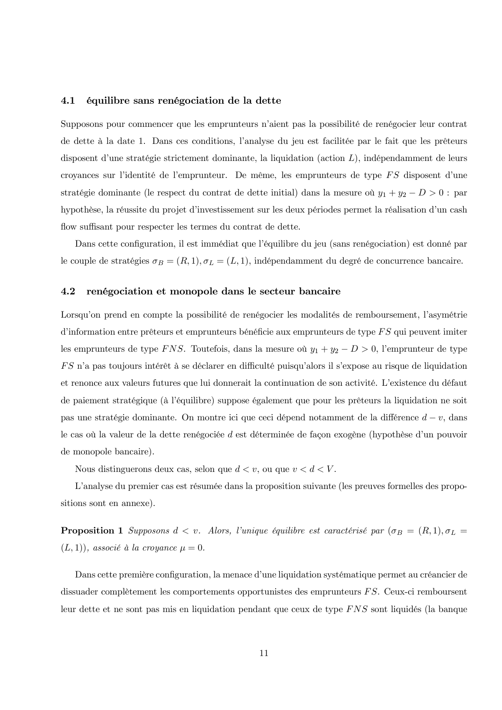#### 4.1 équilibre sans renégociation de la dette

Supposons pour commencer que les emprunteurs n'aient pas la possibilité de renégocier leur contrat de dette à la date 1. Dans ces conditions, l'analyse du jeu est facilitée par le fait que les prêteurs disposent d'une stratégie strictement dominante, la liquidation (action  $L$ ), indépendamment de leurs croyances sur l'identité de l'emprunteur. De même, les emprunteurs de type FS disposent d'une stratégie dominante (le respect du contrat de dette initial) dans la mesure où  $y_1 + y_2 - D > 0$ : par hypothèse, la réussite du projet d'investissement sur les deux périodes permet la réalisation d'un cash flow suffisant pour respecter les termes du contrat de dette.

Dans cette configuration, il est immédiat que l'équilibre du jeu (sans renégociation) est donné par le couple de stratégies  $\sigma_B = (R, 1), \sigma_L = (L, 1)$ , indépendamment du degré de concurrence bancaire.

#### 4.2 renégociation et monopole dans le secteur bancaire

Lorsqu'on prend en compte la possibilité de renégocier les modalités de remboursement, l'asymétrie d'information entre prêteurs et emprunteurs bénéficie aux emprunteurs de type FS qui peuvent imiter les emprunteurs de type FNS. Toutefois, dans la mesure où  $y_1 + y_2 - D > 0$ , l'emprunteur de type FS n'a pas toujours intérêt à se déclarer en difficulté puisqu'alors il s'expose au risque de liquidation et renonce aux valeurs futures que lui donnerait la continuation de son activité. L'existence du défaut de paiement stratégique (à l'équilibre) suppose également que pour les prêteurs la liquidation ne soit pas une stratégie dominante. On montre ici que ceci dépend notamment de la différence  $d-v$ , dans le cas où la valeur de la dette renégociée d est déterminée de façon exogène (hypothèse d'un pouvoir de monopole bancaire).

Nous distinguerons deux cas, selon que  $d < v$ , ou que  $v < d < V$ .

L'analyse du premier cas est résumée dans la proposition suivante (les preuves formelles des propositions sont en annexe).

**Proposition 1** Supposons  $d < v$ . Alors, l'unique équilibre est caractérisé par  $(\sigma_B = (R, 1), \sigma_L =$  $(L,1)$ , associé à la croyance  $\mu=0$ .

Dans cette première configuration, la menace d'une liquidation systématique permet au créancier de dissuader complètement les comportements opportunistes des emprunteurs  $FS$ . Ceux-ci remboursent leur dette et ne sont pas mis en liquidation pendant que ceux de type FNS sont liquidés (la banque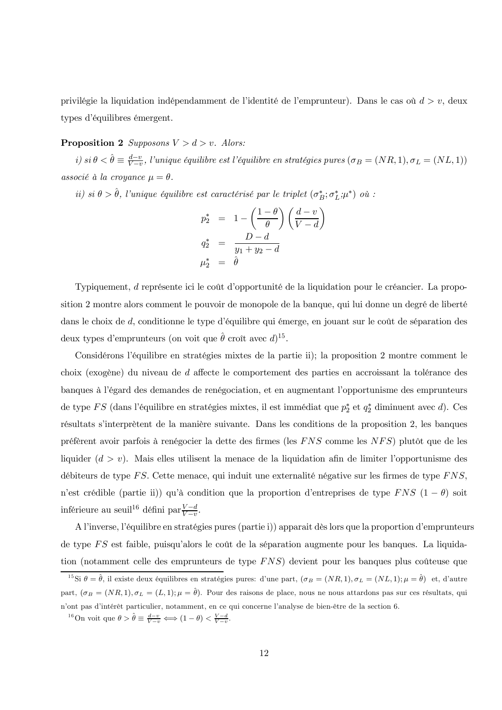privilégie la liquidation indépendamment de l'identité de l'emprunteur). Dans le cas où  $d > v$ , deux types d'équilibres émergent.

### **Proposition 2** Supposons  $V > d > v$ . Alors:

i) si  $\theta < \hat{\theta} \equiv \frac{d-v}{V-v}$ , l'unique équilibre est l'équilibre en stratégies pures  $(\sigma_B = (NR, 1), \sigma_L = (NL, 1))$ associé à la croyance  $\mu = \theta$ .

ii) si  $\theta > \hat{\theta}$ , l'unique équilibre est caractérisé par le triplet  $(\sigma_B^*, \sigma_L^*, \mu^*)$  où :

$$
p_2^* = 1 - \left(\frac{1-\theta}{\theta}\right) \left(\frac{d-v}{V-d}\right)
$$
  
\n
$$
q_2^* = \frac{D-d}{y_1 + y_2 - d}
$$
  
\n
$$
\mu_2^* = \hat{\theta}
$$

Typiquement, d'représente ici le coût d'opportunité de la liquidation pour le créancier. La proposition 2 montre alors comment le pouvoir de monopole de la banque, qui lui donne un degré de liberté dans le choix de  $d$ , conditionne le type d'équilibre qui émerge, en jouant sur le coût de séparation des deux types d'emprunteurs (on voit que  $\hat{\theta}$  croît avec  $d$ )<sup>15</sup>.

Considérons l'équilibre en stratégies mixtes de la partie ii); la proposition 2 montre comment le choix (exogène) du niveau de *d* affecte le comportement des parties en accroissant la tolérance des banques à l'égard des demandes de renégociation, et en augmentant l'opportunisme des emprunteurs de type  $FS$  (dans l'équilibre en stratégies mixtes, il est immédiat que  $p_2^*$  et  $q_2^*$  diminuent avec d). Ces résultats s'interprètent de la manière suivante. Dans les conditions de la proposition 2, les banques préfèrent avoir parfois à renégocier la dette des firmes (les FNS comme les NFS) plutôt que de les liquider  $(d > v)$ . Mais elles utilisent la menace de la liquidation afin de limiter l'opportunisme des débiteurs de type  $FS$ . Cette menace, qui induit une externalité négative sur les firmes de type  $FNS$ , n'est crédible (partie ii)) qu'à condition que la proportion d'entreprises de type FNS  $(1 - \theta)$  soit inférieure au seuil<sup>16</sup> défini par $\frac{V-d}{V-v}$ .

A l'inverse, l'équilibre en stratégies pures (partie i)) apparait dès lors que la proportion d'emprunteurs de type  $FS$  est faible, puisqu'alors le coût de la séparation augmente pour les banques. La liquidation (notamment celle des emprunteurs de type  $FNS$ ) devient pour les banques plus coûteuse que

<sup>&</sup>lt;sup>15</sup>Si  $\theta = \hat{\theta}$ , il existe deux équilibres en stratégies pures: d'une part,  $(\sigma_B = (NR, 1), \sigma_L = (NL, 1); \mu = \hat{\theta})$  et, d'autre part,  $(\sigma_B = (NR, 1), \sigma_L = (L, 1); \mu = \hat{\theta})$ . Pour des raisons de place, nous ne nous attardons pas sur ces résultats, qui n'ont pas d'intérêt particulier, notamment, en ce qui concerne l'analyse de bien-être de la section 6.

<sup>&</sup>lt;sup>16</sup>On voit que  $\theta > \hat{\theta} \equiv \frac{d-v}{V-v} \Longleftrightarrow (1-\theta) < \frac{V-d}{V-v}$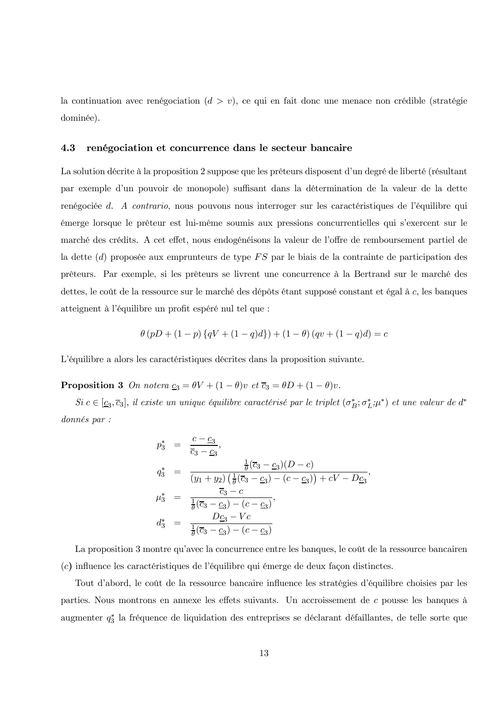la continuation avec renégociation  $(d > v)$ , ce qui en fait donc une menace non crédible (stratégie dominée).

#### 4.3 renégociation et concurrence dans le secteur bancaire

La solution décrite à la proposition 2 suppose que les prêteurs disposent d'un degré de liberté (résultant par exemple d'un pouvoir de monopole) suffisant dans la détermination de la valeur de la dette renégociée d. A contrario, nous pouvons nous interroger sur les caractéristiques de l'équilibre qui émerge lorsque le prêteur est lui-même soumis aux pressions concurrentielles qui s'exercent sur le marché des crédits. A cet effet, nous endogénéisons la valeur de l'offre de remboursement partiel de la dette (d) proposée aux emprunteurs de type  $FS$  par le biais de la contrainte de participation des prêteurs. Par exemple, si les prêteurs se livrent une concurrence à la Bertrand sur le marché des dettes, le coût de la ressource sur le marché des dépôts étant supposé constant et égal à c, les banques atteignent à l'équilibre un profit espéré nul tel que :

$$
\theta (pD + (1-p) \{qV + (1-q)d\}) + (1-\theta) (qv + (1-q)d) = c
$$

L'équilibre a alors les caractéristiques décrites dans la proposition suivante.

**Proposition 3** On notera  $\underline{c}_3 = \theta V + (1 - \theta)v$  et  $\overline{c}_3 = \theta D + (1 - \theta)v$ .

 $Si\ c\in[\underline{c}_3,\overline{c}_3],$  il existe un unique équilibre caractérisé par le triplet  $(\sigma_B^*,\sigma_L^*,\mu^*)$  et une valeur de d<sup>\*</sup> donnés par :

$$
p_3^* = \frac{c - c_3}{\overline{c}_3 - c_3},
$$
  
\n
$$
q_3^* = \frac{\frac{1}{\theta}(\overline{c}_3 - c_3)(D - c)}{(y_1 + y_2)(\frac{1}{\theta}(\overline{c}_3 - c_3) - (c - c_3)) + cV - Dc_3},
$$
  
\n
$$
\mu_3^* = \frac{\overline{c}_3 - c}{\frac{1}{\theta}(\overline{c}_3 - c_3) - (c - c_3)},
$$
  
\n
$$
d_3^* = \frac{Dc_3 - Vc}{\frac{1}{\theta}(\overline{c}_3 - c_3) - (c - c_3)}
$$

La proposition 3 montre qu'avec la concurrence entre les banques, le coût de la ressource bancairen (c) influence les caractéristiques de l'équilibre qui émerge de deux façon distinctes.

Tout d'abord, le coût de la ressource bancaire influence les stratégies d'équilibre choisies par les parties. Nous montrons en annexe les effets suivants. Un accroissement de c pousse les banques à augmenter  $q_3^*$  la fréquence de liquidation des entreprises se déclarant défaillantes, de telle sorte que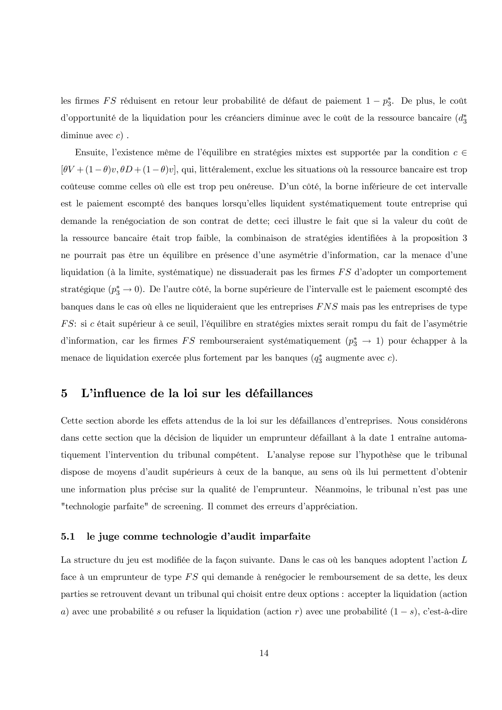les firmes FS réduisent en retour leur probabilité de défaut de paiement  $1 - p_3^*$ . De plus, le coût d'opportunité de la liquidation pour les créanciers diminue avec le coût de la ressource bancaire  $(d_3^*)$ diminue avec  $c$ .

Ensuite, l'existence même de l'équilibre en stratégies mixtes est supportée par la condition  $c \in$  $[\theta V + (1-\theta)v, \theta D + (1-\theta)v],$  qui, littéralement, exclue les situations où la ressource bancaire est trop coûteuse comme celles où elle est trop peu onéreuse. D'un côté, la borne inférieure de cet intervalle est le paiement escompté des banques lorsqu'elles liquident systématiquement toute entreprise qui demande la renégociation de son contrat de dette; ceci illustre le fait que si la valeur du coût de la ressource bancaire était trop faible, la combinaison de stratégies identifiées à la proposition 3 ne pourrait pas être un équilibre en présence d'une asymétrie d'information, car la menace d'une liquidation (à la limite, systématique) ne dissuaderait pas les firmes FS d'adopter un comportement stratégique  $(p_3^* \rightarrow 0)$ . De l'autre côté, la borne supérieure de l'intervalle est le paiement escompté des banques dans le cas où elles ne liquideraient que les entreprises FNS mais pas les entreprises de type FS: si c était supérieur à ce seuil, l'équilibre en stratégies mixtes serait rompu du fait de l'asymétrie d'information, car les firmes  $FS$  rembourseraient systématiquement  $(p_3^* \rightarrow 1)$  pour échapper à la menace de liquidation exercée plus fortement par les banques  $(q_3^*$  augmente avec c).

#### L'influence de la loi sur les défaillances  $\bf{5}$

Cette section aborde les effets attendus de la loi sur les défaillances d'entreprises. Nous considérons dans cette section que la décision de liquider un emprunteur défaillant à la date 1 entraîne automatiquement l'intervention du tribunal compétent. L'analyse repose sur l'hypothèse que le tribunal dispose de moyens d'audit supérieurs à ceux de la banque, au sens où ils lui permettent d'obtenir une information plus précise sur la qualité de l'emprunteur. Néanmoins, le tribunal n'est pas une "technologie parfaite" de screening. Il commet des erreurs d'appréciation.

#### $5.1$ le juge comme technologie d'audit imparfaite

La structure du jeu est modifiée de la façon suivante. Dans le cas où les banques adoptent l'action L face à un emprunteur de type FS qui demande à renégocier le remboursement de sa dette, les deux parties se retrouvent devant un tribunal qui choisit entre deux options : accepter la liquidation (action a) avec une probabilité s ou refuser la liquidation (action r) avec une probabilité  $(1-s)$ , c'est-à-dire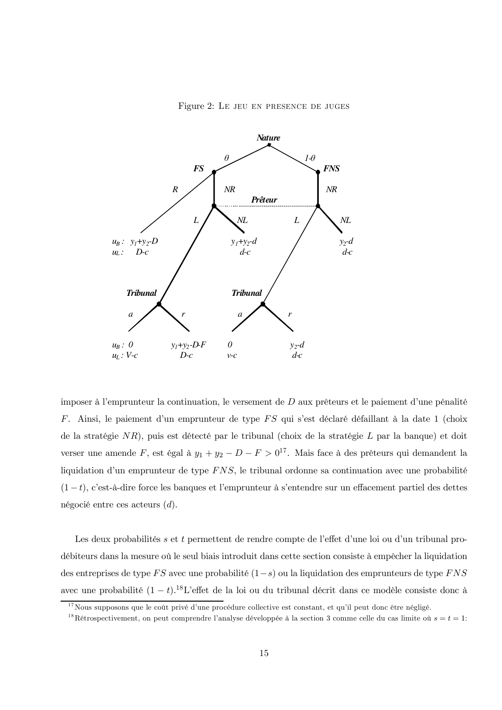Figure 2: LE JEU EN PRESENCE DE JUGES



imposer à l'emprunteur la continuation, le versement de D aux prêteurs et le paiement d'une pénalité F. Ainsi, le paiement d'un emprunteur de type FS qui s'est déclaré défaillant à la date 1 (choix de la stratégie  $NR$ ), puis est détecté par le tribunal (choix de la stratégie  $L$  par la banque) et doit verser une amende $F,$ est égal à  $y_1+y_2-D-F>0^{17}.$  Mais face à des prêteurs qui demandent la liquidation d'un emprunteur de type  $FNS$ , le tribunal ordonne sa continuation avec une probabilité  $(1-t)$ , c'est-à-dire force les banques et l'emprunteur à s'entendre sur un effacement partiel des dettes négocié entre ces acteurs  $(d)$ .

Les deux probabilités s et t permettent de rendre compte de l'effet d'une loi ou d'un tribunal prodébiteurs dans la mesure où le seul biais introduit dans cette section consiste à empêcher la liquidation des entreprises de type FS avec une probabilité  $(1-s)$  ou la liquidation des emprunteurs de type FNS avec une probabilité  $(1-t)$ .<sup>18</sup>L'effet de la loi ou du tribunal décrit dans ce modèle consiste donc à

<sup>&</sup>lt;sup>17</sup>Nous supposons que le coût privé d'une procédure collective est constant, et qu'il peut donc être négligé.

<sup>&</sup>lt;sup>18</sup>Rétrospectivement, on peut comprendre l'analyse développée à la section 3 comme celle du cas limite où  $s = t = 1$ :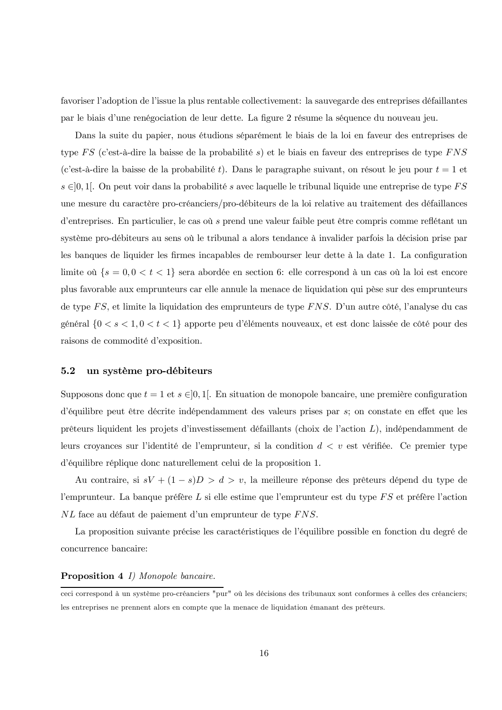favoriser l'adoption de l'issue la plus rentable collectivement: la sauvegarde des entreprises défaillantes par le biais d'une renégociation de leur dette. La figure 2 résume la séquence du nouveau jeu.

Dans la suite du papier, nous étudions séparément le biais de la loi en faveur des entreprises de type FS (c'est-à-dire la baisse de la probabilité s) et le biais en faveur des entreprises de type FNS (c'est-à-dire la baisse de la probabilité t). Dans le paragraphe suivant, on résout le jeu pour  $t = 1$  et  $s \in ]0,1[$ . On peut voir dans la probabilité s avec laquelle le tribunal liquide une entreprise de type FS une mesure du caractère pro-créanciers/pro-débiteurs de la loi relative au traitement des défaillances d'entreprises. En particulier, le cas où s prend une valeur faible peut être compris comme reflétant un système pro-débiteurs au sens où le tribunal a alors tendance à invalider parfois la décision prise par les banques de liquider les firmes incapables de rembourser leur dette à la date 1. La configuration limite où  $\{s = 0, 0 < t < 1\}$  sera abordée en section 6: elle correspond à un cas où la loi est encore plus favorable aux emprunteurs car elle annule la menace de liquidation qui pèse sur des emprunteurs de type FS, et limite la liquidation des emprunteurs de type FNS. D'un autre côté, l'analyse du cas général $\{0 < s < 1, 0 < t < 1\}$ apporte peu d'éléments nouveaux, et est donc laissée de côté pour des raisons de commodité d'exposition.

#### $5.2$ un système pro-débiteurs

Supposons donc que  $t = 1$  et  $s \in [0, 1]$ . En situation de monopole bancaire, une première configuration d'équilibre peut être décrite indépendamment des valeurs prises par s; on constate en effet que les prêteurs liquident les projets d'investissement défaillants (choix de l'action  $L$ ), indépendamment de leurs croyances sur l'identité de l'emprunteur, si la condition  $d < v$  est vérifiée. Ce premier type d'équilibre réplique donc naturellement celui de la proposition 1.

Au contraire, si  $sV + (1 - s)D > d > v$ , la meilleure réponse des prêteurs dépend du type de l'emprunteur. La banque préfère  $L$  si elle estime que l'emprunteur est du type  $FS$  et préfère l'action NL face au défaut de paiement d'un emprunteur de type FNS.

La proposition suivante précise les caractéristiques de l'équilibre possible en fonction du degré de concurrence bancaire:

### **Proposition 4** *I)* Monopole bancaire.

ceci correspond à un système pro-créanciers "pur" où les décisions des tribunaux sont conformes à celles des créanciers; les entreprises ne prennent alors en compte que la menace de liquidation émanant des prêteurs.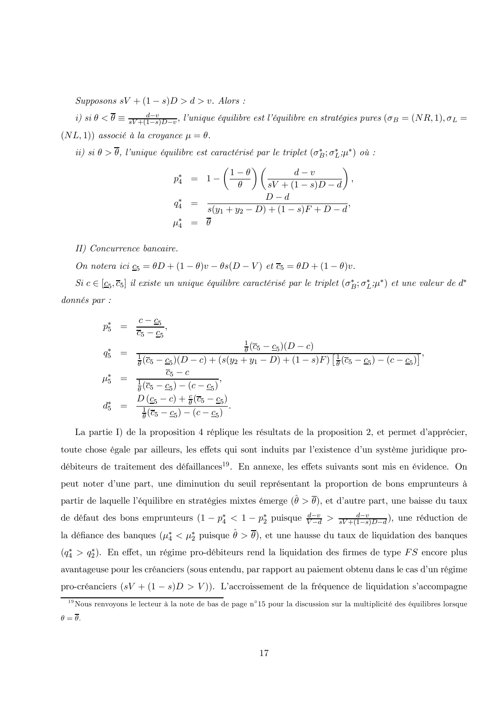Supposons  $sV + (1 - s)D > d > v$ . Alors:

i) si  $\theta < \overline{\theta} \equiv \frac{d-v}{sV + (1-s)D-v}$ , l'unique équilibre est l'équilibre en stratégies pures  $(\sigma_B = (NR, 1), \sigma_L =$  $(NL, 1)$  associé à la croyance  $\mu = \theta$ .

ii) si  $\theta > \overline{\theta}$ , l'unique équilibre est caractérisé par le triplet  $(\sigma_B^*; \sigma_L^*, \mu^*)$  où :

$$
p_4^* = 1 - \left(\frac{1-\theta}{\theta}\right) \left(\frac{d-v}{sV + (1-s)D - d}\right)
$$
  
\n
$$
q_4^* = \frac{D - d}{s(y_1 + y_2 - D) + (1-s)F + D - d},
$$
  
\n
$$
\mu_4^* = \overline{\theta}
$$

II) Concurrence bancaire.

On notera ici  $\underline{c}_5 = \theta D + (1 - \theta)v - \theta s(D - V)$  et  $\overline{c}_5 = \theta D + (1 - \theta)v$ .

 $Si\ c\in[c_5,\overline{c}_5]$  il existe un unique équilibre caractérisé par le triplet  $(\sigma_B^*,\sigma_L^*,\mu^*)$  et une valeur de d<sup>\*</sup>  $donnés par :$ 

$$
p_5^* = \frac{c - c_5}{\overline{c}_5 - c_5},
$$
  
\n
$$
q_5^* = \frac{\frac{1}{\theta}(\overline{c}_5 - \underline{c}_5)(D - c)}{\frac{1}{\theta}(\overline{c}_5 - \underline{c}_5)(D - c) + (s(y_2 + y_1 - D) + (1 - s)F) \left[\frac{1}{\theta}(\overline{c}_5 - \underline{c}_5) - (c - \underline{c}_5)\right]},
$$
  
\n
$$
\mu_5^* = \frac{\overline{c}_5 - c}{\frac{1}{\theta}(\overline{c}_5 - \underline{c}_5) - (c - \underline{c}_5)},
$$
  
\n
$$
d_5^* = \frac{D(c_5 - c) + \frac{c}{\theta}(\overline{c}_5 - \underline{c}_5)}{\frac{1}{\theta}(\overline{c}_5 - \underline{c}_5) - (c - \underline{c}_5)}.
$$

La partie I) de la proposition 4 réplique les résultats de la proposition 2, et permet d'apprécier, toute chose égale par ailleurs, les effets qui sont induits par l'existence d'un système juridique prodébiteurs de traitement des défaillances<sup>19</sup>. En annexe, les effets suivants sont mis en évidence. On peut noter d'une part, une diminution du seuil représentant la proportion de bons emprunteurs à partir de laquelle l'équilibre en stratégies mixtes émerge  $(\hat{\theta} > \overline{\theta})$ , et d'autre part, une baisse du taux de défaut des bons emprunteurs  $(1 - p_4^* < 1 - p_2^*$  puisque  $\frac{d-v}{V-d} > \frac{d-v}{sV+(1-s)D-d}$ , une réduction de la défiance des banques  $(\mu_4^* < \mu_2^*$  puisque  $\hat{\theta} > \overline{\theta}$ , et une hausse du taux de liquidation des banques  $(q_4^* > q_2^*)$ . En effet, un régime pro-débiteurs rend la liquidation des firmes de type FS encore plus avantageuse pour les créanciers (sous entendu, par rapport au paiement obtenu dans le cas d'un régime pro-créanciers  $(sV + (1 - s)D > V)$ ). L'accroissement de la fréquence de liquidation s'accompagne

 $\frac{19}{19}$ Nous renvoyons le lecteur à la note de bas de page n°15 pour la discussion sur la multiplicité des équilibres lorsque  $\theta = \overline{\theta}$ .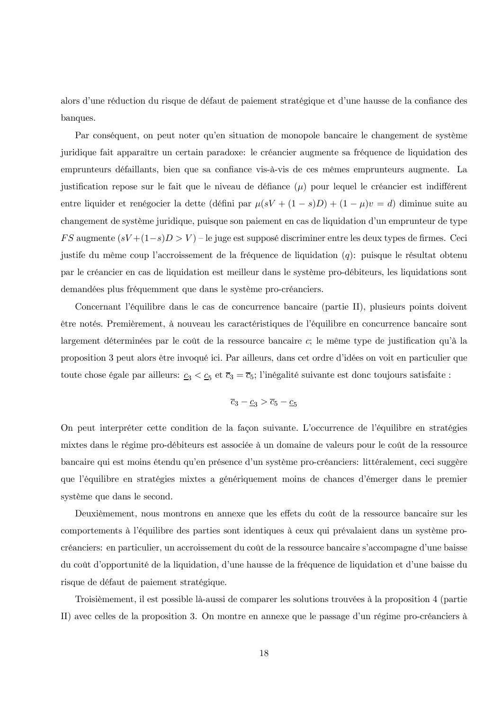alors d'une réduction du risque de défaut de paiement stratégique et d'une hausse de la confiance des banques.

Par conséquent, on peut noter qu'en situation de monopole bancaire le changement de système juridique fait apparaître un certain paradoxe: le créancier augmente sa fréquence de liquidation des emprunteurs défaillants, bien que sa confiance vis-à-vis de ces mêmes emprunteurs augmente. La justification repose sur le fait que le niveau de défiance  $(\mu)$  pour lequel le créancier est indifférent entre liquider et renégocier la dette (défini par  $\mu(sV + (1-s)D) + (1-\mu)v = d$ ) diminue suite au changement de système juridique, puisque son paiement en cas de liquidation d'un emprunteur de type FS augmente  $(sV + (1-s)D > V)$  – le juge est supposé discriminer entre les deux types de firmes. Ceci justife du même coup l'accroissement de la fréquence de liquidation  $(q)$ : puisque le résultat obtenu par le créancier en cas de liquidation est meilleur dans le système pro-débiteurs, les liquidations sont demandées plus fréquemment que dans le système pro-créanciers.

Concernant l'équilibre dans le cas de concurrence bancaire (partie II), plusieurs points doivent être notés. Premièrement, à nouveau les caractéristiques de l'équilibre en concurrence bancaire sont largement déterminées par le coût de la ressource bancaire c; le même type de justification qu'à la proposition 3 peut alors être invoqué ici. Par ailleurs, dans cet ordre d'idées on voit en particulier que toute chose égale par ailleurs:  $\underline{c}_3 < \underline{c}_5$  et  $\overline{c}_3 = \overline{c}_5$ ; l'inégalité suivante est donc toujours satisfaite :

$$
\overline{c}_3 - \underline{c}_3 > \overline{c}_5 - \underline{c}_5
$$

On peut interpréter cette condition de la façon suivante. L'occurrence de l'équilibre en stratégies mixtes dans le régime pro-débiteurs est associée à un domaine de valeurs pour le coût de la ressource bancaire qui est moins étendu qu'en présence d'un système pro-créanciers: littéralement, ceci suggère que l'équilibre en stratégies mixtes a génériquement moins de chances d'émerger dans le premier système que dans le second.

Deuxièmement, nous montrons en annexe que les effets du coût de la ressource bancaire sur les comportements à l'équilibre des parties sont identiques à ceux qui prévalaient dans un système procréanciers: en particulier, un accroissement du coût de la ressource bancaire s'accompagne d'une baisse du coût d'opportunité de la liquidation, d'une hausse de la fréquence de liquidation et d'une baisse du risque de défaut de paiement stratégique.

Troisièmement, il est possible là-aussi de comparer les solutions trouvées à la proposition 4 (partie II) avec celles de la proposition 3. On montre en annexe que le passage d'un régime pro-créanciers à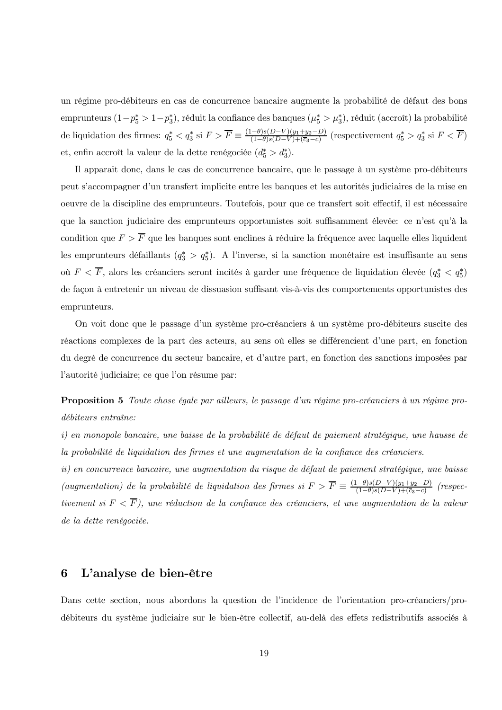un régime pro-débiteurs en cas de concurrence bancaire augmente la probabilité de défaut des bons emprunteurs (1- $p_5^* > 1-p_3^*$ ), réduit la confiance des banques ( $\mu_5^* > \mu_3^*$ ), réduit (accroît) la probabilité de liquidation des firmes:  $q_5^* < q_3^*$  si  $F > \overline{F} \equiv \frac{(1-\theta)s(D-V)(y_1+y_2-D)}{(1-\theta)s(D-V)+(z_3-c)}$  (respectivement  $q_5^* > q_3^*$  si  $F < \overline{F}$ ) et, enfin accroît la valeur de la dette renégociée  $(d_5^* > d_3^*)$ .

Il apparait donc, dans le cas de concurrence bancaire, que le passage à un système pro-débiteurs peut s'accompagner d'un transfert implicite entre les banques et les autorités judiciaires de la mise en oeuvre de la discipline des emprunteurs. Toutefois, pour que ce transfert soit effectif, il est nécessaire que la sanction judiciaire des emprunteurs opportunistes soit suffisamment élevée: ce n'est qu'à la condition que  $F > \overline{F}$  que les banques sont enclines à réduire la fréquence avec laquelle elles liquident les emprunteurs défaillants  $(q_3^* > q_5^*)$ . A l'inverse, si la sanction monétaire est insuffisante au sens où  $F \lt \overline{F}$ , alors les créanciers seront incités à garder une fréquence de liquidation élevée  $(q_3^* \lt q_5^*)$ de façon à entretenir un niveau de dissuasion suffisant vis-à-vis des comportements opportunistes des emprunteurs.

On voit donc que le passage d'un système pro-créanciers à un système pro-débiteurs suscite des réactions complexes de la part des acteurs, au sens où elles se différencient d'une part, en fonction du degré de concurrence du secteur bancaire, et d'autre part, en fonction des sanctions imposées par l'autorité judiciaire; ce que l'on résume par:

**Proposition 5** Toute chose égale par ailleurs, le passage d'un régime pro-créanciers à un régime prodébiteurs entraîne:

i) en monopole bancaire, une baisse de la probabilité de défaut de paiement stratégique, une hausse de la probabilité de liquidation des firmes et une augmentation de la confiance des créanciers.

ii) en concurrence bancaire, une augmentation du risque de défaut de paiement stratégique, une baisse (augmentation) de la probabilité de liquidation des firmes si  $F > \overline{F} \equiv \frac{(1-\theta)s(D-V)(y_1+y_2-D)}{(1-\theta)s(D-V)+(c_3-c)}$  $(respec$ tivement si  $F \langle \overline{F} \rangle$ , une réduction de la confiance des créanciers, et une augmentation de la valeur de la dette renégociée.

#### L'analyse de bien-être 6

Dans cette section, nous abordons la question de l'incidence de l'orientation pro-créanciers/prodébiteurs du système judiciaire sur le bien-être collectif, au-delà des effets redistributifs associés à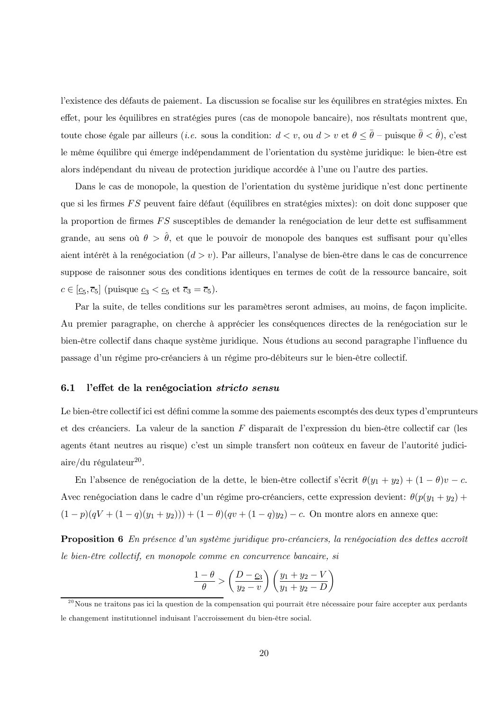l'existence des défauts de paiement. La discussion se focalise sur les équilibres en stratégies mixtes. En effet, pour les équilibres en stratégies pures (cas de monopole bancaire), nos résultats montrent que, toute chose égale par ailleurs *(i.e.* sous la condition:  $d < v$ , ou  $d > v$  et  $\theta \leq \bar{\theta}$  – puisque  $\bar{\theta} < \hat{\theta}$ ), c'est le même équilibre qui émerge indépendamment de l'orientation du système juridique: le bien-être est alors indépendant du niveau de protection juridique accordée à l'une ou l'autre des parties.

Dans le cas de monopole, la question de l'orientation du système juridique n'est donc pertinente que si les firmes FS peuvent faire défaut (équilibres en stratégies mixtes): on doit donc supposer que la proportion de firmes FS susceptibles de demander la renégociation de leur dette est suffisamment grande, au sens où  $\theta > \hat{\theta}$ , et que le pouvoir de monopole des banques est suffisant pour qu'elles aient intérêt à la renégociation  $(d > v)$ . Par ailleurs, l'analyse de bien-être dans le cas de concurrence suppose de raisonner sous des conditions identiques en termes de coût de la ressource bancaire, soit  $c \in [\underline{c}_5, \overline{c}_5]$  (puisque  $\underline{c}_3 < \underline{c}_5$  et  $\overline{c}_3 = \overline{c}_5$ ).

Par la suite, de telles conditions sur les paramètres seront admises, au moins, de façon implicite. Au premier paragraphe, on cherche à apprécier les conséquences directes de la renégociation sur le bien-être collectif dans chaque système juridique. Nous étudions au second paragraphe l'influence du passage d'un régime pro-créanciers à un régime pro-débiteurs sur le bien-être collectif.

#### $6.1$ l'effet de la renégociation stricto sensu

Le bien-être collectif ici est défini comme la somme des paiements escomptés des deux types d'emprunteurs et des créanciers. La valeur de la sanction  $F$  disparaît de l'expression du bien-être collectif car (les agents étant neutres au risque) c'est un simple transfert non coûteux en faveur de l'autorité judiciaire/du régulateur<sup>20</sup>.

En l'absence de renégociation de la dette, le bien-être collectif s'écrit  $\theta(y_1 + y_2) + (1 - \theta)v - c$ . Avec renégociation dans le cadre d'un régime pro-créanciers, cette expression devient:  $\theta(p(y_1 + y_2) +$  $(1-p)(qV + (1-q)(y_1+y_2)) + (1-\theta)(qv + (1-q)y_2) - c$ . On montre alors en annexe que:

**Proposition 6** En présence d'un système juridique pro-créanciers, la renégociation des dettes accroît le bien-être collectif, en monopole comme en concurrence bancaire, si

$$
\frac{1-\theta}{\theta} > \left(\frac{D-c_3}{y_2-v}\right) \left(\frac{y_1+y_2-V}{y_1+y_2-D}\right)
$$

 $^{20}$ Nous ne traitons pas ici la question de la compensation qui pourrait être nécessaire pour faire accepter aux perdants le changement institutionnel induisant l'accroissement du bien-être social.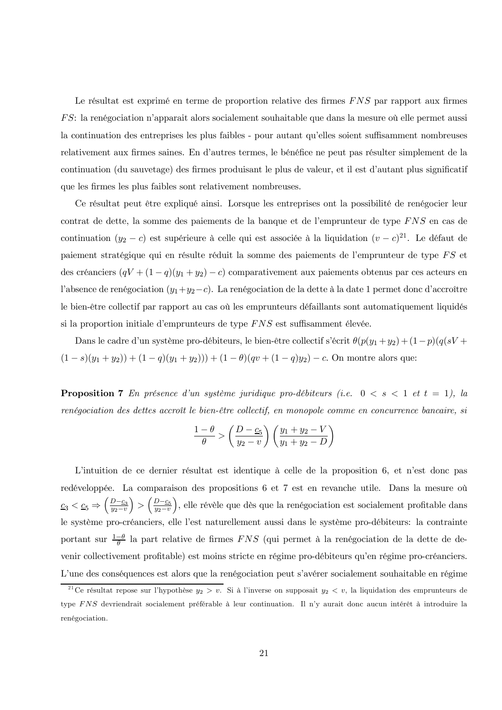Le résultat est exprimé en terme de proportion relative des firmes FNS par rapport aux firmes FS: la renégociation n'apparait alors socialement souhaitable que dans la mesure où elle permet aussi la continuation des entreprises les plus faibles - pour autant qu'elles soient suffisamment nombreuses relativement aux firmes saines. En d'autres termes, le bénéfice ne peut pas résulter simplement de la continuation (du sauvetage) des firmes produisant le plus de valeur, et il est d'autant plus significatif que les firmes les plus faibles sont relativement nombreuses.

Ce résultat peut être expliqué ainsi. Lorsque les entreprises ont la possibilité de renégocier leur contrat de dette, la somme des paiements de la banque et de l'emprunteur de type  $FNS$  en cas de continuation  $(y_2 - c)$  est supérieure à celle qui est associée à la liquidation  $(v - c)^{21}$ . Le défaut de paiement stratégique qui en résulte réduit la somme des paiements de l'emprunteur de type FS et des créanciers  $(qV + (1 - q)(y_1 + y_2) - c)$  comparativement aux paiements obtenus par ces acteurs en l'absence de renégociation  $(y_1+y_2-c)$ . La renégociation de la dette à la date 1 permet donc d'accroître le bien-être collectif par rapport au cas où les emprunteurs défaillants sont automatiquement liquidés si la proportion initiale d'emprunteurs de type FNS est suffisamment élevée.

Dans le cadre d'un système pro-débiteurs, le bien-être collectif s'écrit  $\theta(p(y_1+y_2)+(1-p)(q(sV+$  $(1-s)(y_1+y_2)+(1-q)(y_1+y_2))+(1-\theta)(qv+(1-q)y_2)-c.$  On montre alors que:

**Proposition 7** En présence d'un système juridique pro-débiteurs (i.e.  $0 < s < 1$  et  $t = 1$ ), la renégociation des dettes accroît le bien-être collectif, en monopole comme en concurrence bancaire, si

$$
\frac{1-\theta}{\theta} > \left(\frac{D-\underline{c_5}}{y_2-v}\right) \left(\frac{y_1+y_2-V}{y_1+y_2-D}\right)
$$

L'intuition de ce dernier résultat est identique à celle de la proposition 6, et n'est donc pas redéveloppée. La comparaison des propositions 6 et 7 est en revanche utile. Dans la mesure où  $\underline{c}_3 < \underline{c}_5 \Rightarrow \left(\frac{D-\underline{c}_3}{y_2-v}\right) > \left(\frac{D-\underline{c}_5}{y_2-v}\right)$ , elle révèle que dès que la renégociation est socialement profitable dans le système pro-créanciers, elle l'est naturellement aussi dans le système pro-débiteurs: la contrainte portant sur  $\frac{1-\theta}{\theta}$  la part relative de firmes FNS (qui permet à la renégociation de la dette de devenir collectivement profitable) est moins stricte en régime pro-débiteurs qu'en régime pro-créanciers. L'une des conséquences est alors que la renégociation peut s'avérer socialement souhaitable en régime

<sup>&</sup>lt;sup>21</sup>Ce résultat repose sur l'hypothèse  $y_2 > v$ . Si à l'inverse on supposait  $y_2 < v$ , la liquidation des emprunteurs de type FNS devriendrait socialement préférable à leur continuation. Il n'y aurait donc aucun intérêt à introduire la renégociation.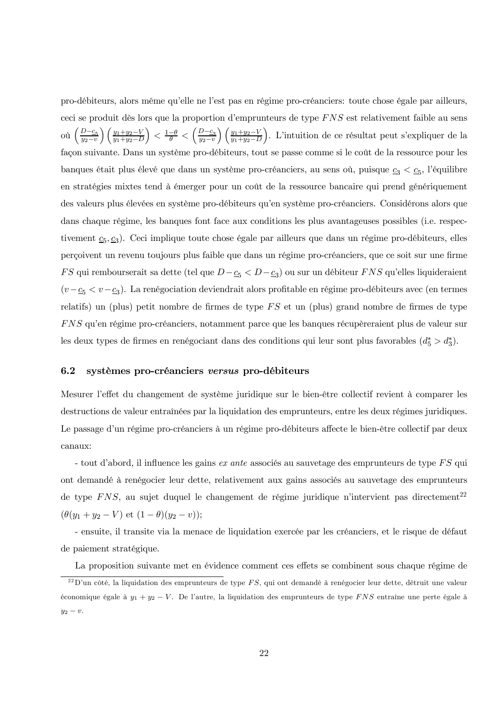pro-débiteurs, alors même qu'elle ne l'est pas en régime pro-créanciers: toute chose égale par ailleurs, ceci se produit dès lors que la proportion d'emprunteurs de type FNS est relativement faible au sens où  $\left(\frac{D-\underline{c_5}}{y_2-v}\right)\left(\frac{y_1+y_2-V}{y_1+y_2-D}\right) < \frac{1-\theta}{\theta} < \left(\frac{D-\underline{c_3}}{y_2-v}\right)\left(\frac{y_1+y_2-V}{y_1+y_2-D}\right)$ . L'intuition de ce résultat peut s'expliquer de la façon suivante. Dans un système pro-débiteurs, tout se passe comme si le coût de la ressource pour les banques était plus élevé que dans un système pro-créanciers, au sens où, puisque  $\underline{c}_3 < \underline{c}_5$ , l'équilibre en stratégies mixtes tend à émerger pour un coût de la ressource bancaire qui prend génériquement des valeurs plus élevées en système pro-débiteurs qu'en système pro-créanciers. Considérons alors que dans chaque régime, les banques font face aux conditions les plus avantageuses possibles (i.e. respectivement  $c_5, c_3$ ). Ceci implique toute chose égale par ailleurs que dans un régime pro-débiteurs, elles perçoivent un revenu toujours plus faible que dans un régime pro-créanciers, que ce soit sur une firme FS qui rembourserait sa dette (tel que  $D-\underline{c_5} < D-\underline{c_3}$ ) ou sur un débiteur FNS qu'elles liquideraient  $(v - \underline{c_5} < v - \underline{c_3})$ . La renégociation deviendrait alors profitable en régime pro-débiteurs avec (en termes relatifs) un (plus) petit nombre de firmes de type  $FS$  et un (plus) grand nombre de firmes de type FNS qu'en régime pro-créanciers, notamment parce que les banques récupèreraient plus de valeur sur les deux types de firmes en renégociant dans des conditions qui leur sont plus favorables  $(d_5^* > d_3^*)$ .

#### 6.2 systèmes pro-créanciers versus pro-débiteurs

Mesurer l'effet du changement de système juridique sur le bien-être collectif revient à comparer les destructions de valeur entraînées par la liquidation des emprunteurs, entre les deux régimes juridiques. Le passage d'un régime pro-créanciers à un régime pro-débiteurs affecte le bien-être collectif par deux canaux:

- tout d'abord, il influence les gains ex ante associés au sauvetage des emprunteurs de type FS qui ont demandé à renégocier leur dette, relativement aux gains associés au sauvetage des emprunteurs de type  $FNS$ , au sujet duquel le changement de régime juridique n'intervient pas directement<sup>22</sup>  $(\theta(y_1 + y_2 - V) \text{ et } (1 - \theta)(y_2 - v));$ 

- ensuite, il transite via la menace de liquidation exercée par les créanciers, et le risque de défaut de paiement stratégique.

La proposition suivante met en évidence comment ces effets se combinent sous chaque régime de

<sup>&</sup>lt;sup>22</sup>D'un côté, la liquidation des emprunteurs de type FS, qui ont demandé à renégocier leur dette, détruit une valeur économique égale à  $y_1 + y_2 - V$ . De l'autre, la liquidation des emprunteurs de type FNS entraîne une perte égale à  $y_2-v.$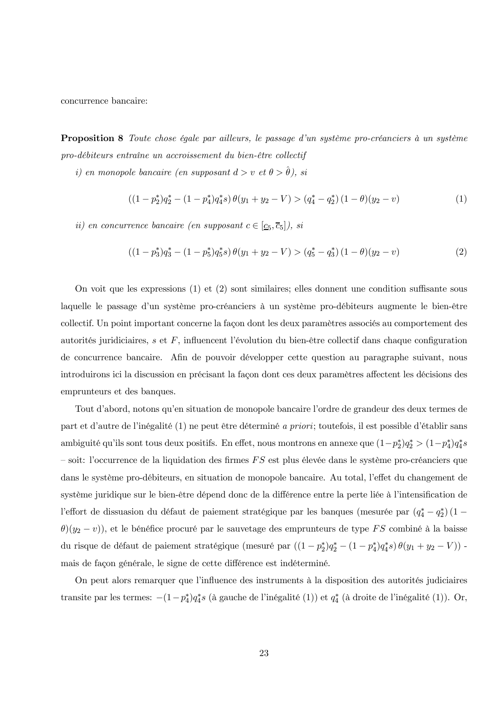concurrence bancaire:

**Proposition 8** Toute chose égale par ailleurs, le passage d'un système pro-créanciers à un système pro-débiteurs entraîne un accroissement du bien-être collectif

 $i) \ \emph{en monopole bancaire (en supposant d> v~et~\theta>\hat{\theta}), si}$ 

$$
((1-p_2^*)q_2^* - (1-p_4^*)q_4^*s)\,\theta(y_1+y_2-V) > (q_4^* - q_2^*)\,(1-\theta)(y_2-v) \tag{1}
$$

ii) en concurrence bancaire (en supposant  $c \in [\underline{c}_5, \overline{c}_5]$ ), si

$$
((1-p_3^*)q_3^* - (1-p_5^*)q_5^*s)\theta(y_1+y_2-V) > (q_5^* - q_3^*)(1-\theta)(y_2-v)
$$
\n(2)

On voit que les expressions (1) et (2) sont similaires; elles donnent une condition suffisante sous laquelle le passage d'un système pro-créanciers à un système pro-débiteurs augmente le bien-être collectif. Un point important concerne la façon dont les deux paramètres associés au comportement des autorités juridiciaires, s et  $F$ , influencent l'évolution du bien-être collectif dans chaque configuration de concurrence bancaire. Afin de pouvoir développer cette question au paragraphe suivant, nous introduirons ici la discussion en précisant la façon dont ces deux paramètres affectent les décisions des emprunteurs et des banques.

Tout d'abord, notons qu'en situation de monopole bancaire l'ordre de grandeur des deux termes de part et d'autre de l'inégalité (1) ne peut être déterminé *a priori*; toutefois, il est possible d'établir sans ambiguité qu'ils sont tous deux positifs. En effet, nous montrons en annexe que  $(1-p_2^*)q_2^*>(1-p_4^*)q_4^*s$ - soit: l'occurrence de la liquidation des firmes  $FS$  est plus élevée dans le système pro-créanciers que dans le système pro-débiteurs, en situation de monopole bancaire. Au total, l'effet du changement de système juridique sur le bien-être dépend donc de la différence entre la perte liée à l'intensification de l'effort de dissuasion du défaut de paiement stratégique par les banques (mesurée par  $(q_4^* - q_2^*) (1 \theta$ )(y<sub>2</sub> – v)), et le bénéfice procuré par le sauvetage des emprunteurs de type FS combiné à la baisse du risque de défaut de paiement stratégique (mesuré par  $((1-p_2^*)q_2^*-(1-p_4^*)q_4^*s)\,\theta(y_1+y_2-V)$ ) mais de facon générale, le signe de cette différence est indéterminé.

On peut alors remarquer que l'influence des instruments à la disposition des autorités judiciaires transite par les termes:  $-(1-p_4^*)q_4^*s$  (à gauche de l'inégalité (1)) et  $q_4^*$  (à droite de l'inégalité (1)). Or,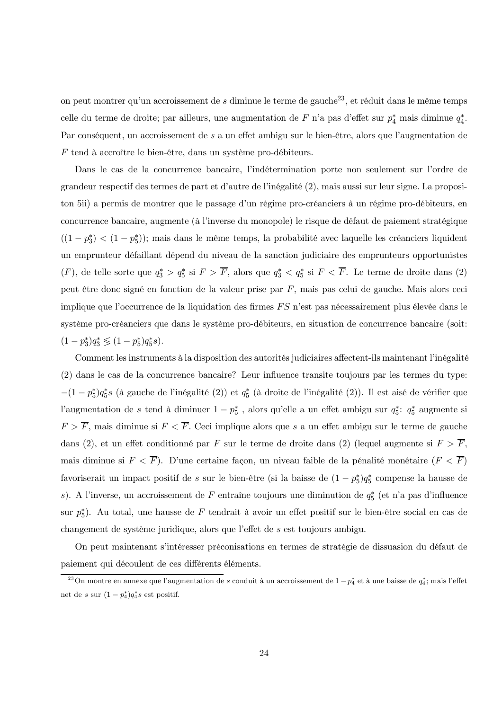on peut montrer qu'un accroissement de  $s$  diminue le terme de gauche<sup>23</sup>, et réduit dans le même temps celle du terme de droite; par ailleurs, une augmentation de F n'a pas d'effet sur  $p_4^*$  mais diminue  $q_4^*$ . Par conséquent, un accroissement de s a un effet ambigu sur le bien-être, alors que l'augmentation de  $F$  tend à accroître le bien-être, dans un système pro-débiteurs.

Dans le cas de la concurrence bancaire, l'indétermination porte non seulement sur l'ordre de grandeur respectif des termes de part et d'autre de l'inégalité (2), mais aussi sur leur signe. La propositon 5ii) a permis de montrer que le passage d'un régime pro-créanciers à un régime pro-débiteurs, en concurrence bancaire, augmente (à l'inverse du monopole) le risque de défaut de paiement stratégique  $((1-p_3^*) < (1-p_5^*)$ ; mais dans le même temps, la probabilité avec laquelle les créanciers liquident un emprunteur défaillant dépend du niveau de la sanction judiciaire des emprunteurs opportunistes  $(F)$ , de telle sorte que  $q_3^* > q_5^*$  si  $F > \overline{F}$ , alors que  $q_3^* < q_5^*$  si  $F < \overline{F}$ . Le terme de droite dans (2) peut être donc signé en fonction de la valeur prise par F, mais pas celui de gauche. Mais alors ceci implique que l'occurrence de la liquidation des firmes FS n'est pas nécessairement plus élevée dans le système pro-créanciers que dans le système pro-débiteurs, en situation de concurrence bancaire (soit:  $(1-p_3^*)q_3^* \leq (1-p_5^*)q_5^*s$ .

Comment les instruments à la disposition des autorités judiciaires affectent-ils maintenant l'inégalité (2) dans le cas de la concurrence bancaire? Leur influence transite toujours par les termes du type:  $-(1-p_5^*)q_5^*$ s (à gauche de l'inégalité (2)) et  $q_5^*$  (à droite de l'inégalité (2)). Il est aisé de vérifier que l'augmentation de s tend à diminuer  $1 - p_5^*$ , alors qu'elle a un effet ambigu sur  $q_5^*$ :  $q_5^*$  augmente si  $F > \overline{F}$ , mais diminue si  $F < \overline{F}$ . Ceci implique alors que s a un effet ambigu sur le terme de gauche dans (2), et un effet conditionné par F sur le terme de droite dans (2) (lequel augmente si  $F > \overline{F}$ , mais diminue si  $F < \overline{F}$ ). D'une certaine façon, un niveau faible de la pénalité monétaire  $(F < \overline{F})$ favoriserait un impact positif de  $s$  sur le bien-être (si la baisse de  $(1-p_5^*)q_5^*$  compense la hausse de s). A l'inverse, un accroissement de F entraîne toujours une diminution de  $q_5^*$  (et n'a pas d'influence sur  $p_5^*$ ). Au total, une hausse de F tendrait à avoir un effet positif sur le bien-être social en cas de changement de système juridique, alors que l'effet de s est toujours ambigu.

On peut maintenant s'intéresser préconisations en termes de stratégie de dissuasion du défaut de paiement qui découlent de ces différents éléments.

<sup>&</sup>lt;sup>23</sup>On montre en annexe que l'augmentation de s conduit à un accroissement de  $1-p_4^*$  et à une baisse de  $q_4^*$ ; mais l'effet net de s sur  $(1-p_4^*)q_4^*$ s est positif.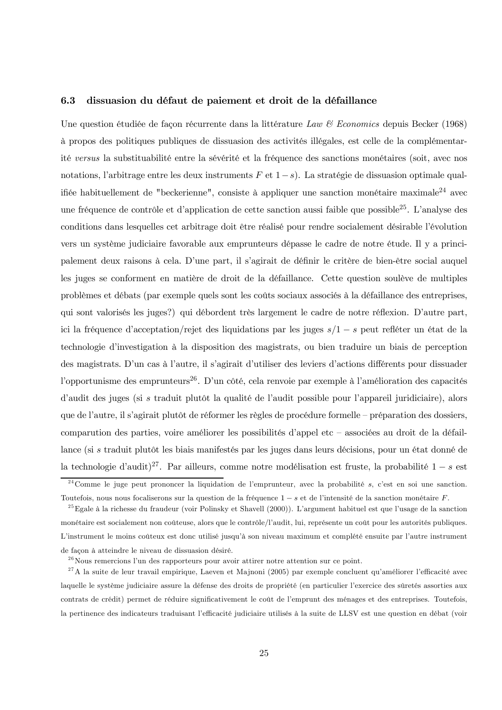#### 6.3 dissuasion du défaut de paiement et droit de la défaillance

Une question étudiée de façon récurrente dans la littérature Law & Economics depuis Becker (1968) à propos des politiques publiques de dissuasion des activités illégales, est celle de la complémentarité versus la substituabilité entre la sévérité et la fréquence des sanctions monétaires (soit, avec nos notations, l'arbitrage entre les deux instruments  $F$  et  $1-s$ ). La stratégie de dissuasion optimale qualifiée habituellement de "beckerienne", consiste à appliquer une sanction monétaire maximale<sup>24</sup> avec une fréquence de contrôle et d'application de cette sanction aussi faible que possible<sup>25</sup>. L'analyse des conditions dans lesquelles cet arbitrage doit être réalisé pour rendre socialement désirable l'évolution vers un système judiciaire favorable aux emprunteurs dépasse le cadre de notre étude. Il y a principalement deux raisons à cela. D'une part, il s'agirait de définir le critère de bien-être social auquel les juges se conforment en matière de droit de la défaillance. Cette question soulève de multiples problèmes et débats (par exemple quels sont les coûts sociaux associés à la défaillance des entreprises, qui sont valorisés les juges?) qui débordent très largement le cadre de notre réflexion. D'autre part, ici la fréquence d'acceptation/rejet des liquidations par les juges  $s/1 - s$  peut refléter un état de la technologie d'investigation à la disposition des magistrats, ou bien traduire un biais de perception des magistrats. D'un cas à l'autre, il s'agirait d'utiliser des leviers d'actions différents pour dissuader l'opportunisme des emprunteurs<sup>26</sup>. D'un côté, cela renvoie par exemple à l'amélioration des capacités d'audit des juges (si s traduit plutôt la qualité de l'audit possible pour l'appareil juridiciaire), alors que de l'autre, il s'agirait plutôt de réformer les règles de procédure formelle – préparation des dossiers, comparution des parties, voire améliorer les possibilités d'appel etc – associées au droit de la défaillance (si s traduit plutôt les biais manifestés par les juges dans leurs décisions, pour un état donné de la technologie d'audit<sup>27</sup>. Par ailleurs, comme notre modélisation est fruste, la probabilité  $1-s$  est

 $^{24}$ Comme le juge peut prononcer la liquidation de l'emprunteur, avec la probabilité s, c'est en soi une sanction. Toutefois, nous nous focaliserons sur la question de la fréquence  $1-s$  et de l'intensité de la sanction monétaire F.

<sup>&</sup>lt;sup>25</sup> Egale à la richesse du fraudeur (voir Polinsky et Shavell (2000)). L'argument habituel est que l'usage de la sanction monétaire est socialement non coûteuse, alors que le contrôle/l'audit, lui, représente un coût pour les autorités publiques. L'instrument le moins coûteux est donc utilisé jusqu'à son niveau maximum et complété ensuite par l'autre instrument de façon à atteindre le niveau de dissuasion désiré.

 $^{26}$ Nous remercions l'un des rapporteurs pour avoir attirer notre attention sur ce point.

 $^{27}$ A la suite de leur travail empirique, Laeven et Majnoni (2005) par exemple concluent qu'améliorer l'efficacité avec laquelle le système judiciaire assure la défense des droits de propriété (en particulier l'exercice des sûretés assorties aux contrats de crédit) permet de réduire significativement le coût de l'emprunt des ménages et des entreprises. Toutefois, la pertinence des indicateurs traduisant l'efficacité judiciaire utilisés à la suite de LLSV est une question en débat (voir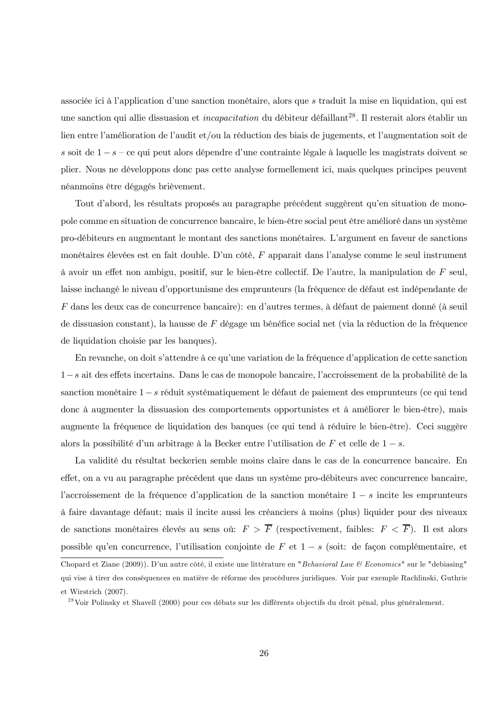associée ici à l'application d'une sanction monétaire, alors que s' traduit la mise en liquidation, qui est une sanction qui allie dissuasion et *incapacitation* du débiteur défaillant<sup>28</sup>. Il resterait alors établir un lien entre l'amélioration de l'audit et/ou la réduction des biais de jugements, et l'augmentation soit de s soit de  $1 - s - c$ e qui peut alors dépendre d'une contrainte légale à laquelle les magistrats doivent se plier. Nous ne développons donc pas cette analyse formellement ici, mais quelques principes peuvent néanmoins être dégagés brièvement.

Tout d'abord, les résultats proposés au paragraphe précédent suggèrent qu'en situation de monopole comme en situation de concurrence bancaire, le bien-être social peut être amélioré dans un système pro-débiteurs en augmentant le montant des sanctions monétaires. L'argument en faveur de sanctions monétaires élevées est en fait double. D'un côté, F apparait dans l'analyse comme le seul instrument à avoir un effet non ambigu, positif, sur le bien-être collectif. De l'autre, la manipulation de  $F$  seul, laisse inchangé le niveau d'opportunisme des emprunteurs (la fréquence de défaut est indépendante de  $F$  dans les deux cas de concurrence bancaire): en d'autres termes, à défaut de paiement donné (à seuil de dissuasion constant), la hausse de F dégage un bénéfice social net (via la réduction de la fréquence de liquidation choisie par les banques).

En revanche, on doit s'attendre à ce qu'une variation de la fréquence d'application de cette sanction  $1-s$  ait des effets incertains. Dans le cas de monopole bancaire, l'accroissement de la probabilité de la sanction monétaire  $1-s$  réduit systématiquement le défaut de paiement des emprunteurs (ce qui tend donc à augmenter la dissuasion des comportements opportunistes et à améliorer le bien-être), mais augmente la fréquence de liquidation des banques (ce qui tend à réduire le bien-être). Ceci suggère alors la possibilité d'un arbitrage à la Becker entre l'utilisation de  $F$  et celle de  $1-s$ .

La validité du résultat beckerien semble moins claire dans le cas de la concurrence bancaire. En effet, on a vu au paragraphe précédent que dans un système pro-débiteurs avec concurrence bancaire, l'accroissement de la fréquence d'application de la sanction monétaire  $1-s$  incite les emprunteurs à faire davantage défaut; mais il incite aussi les créanciers à moins (plus) liquider pour des niveaux de sanctions monétaires élevés au sens où:  $F > \overline{F}$  (respectivement, faibles:  $F < \overline{F}$ ). Il est alors possible qu'en concurrence, l'utilisation conjointe de  $F$  et  $1-s$  (soit: de façon complémentaire, et Chopard et Ziane (2009)). D'un autre côté, il existe une littérature en "Behavioral Law & Economics" sur le "debiasing" qui vise à tirer des conséquences en matière de réforme des procédures juridiques. Voir par exemple Rachlinski, Guthrie et Wirstrich (2007).

<sup>28</sup> Voir Polinsky et Shavell (2000) pour ces débats sur les différents objectifs du droit pénal, plus généralement.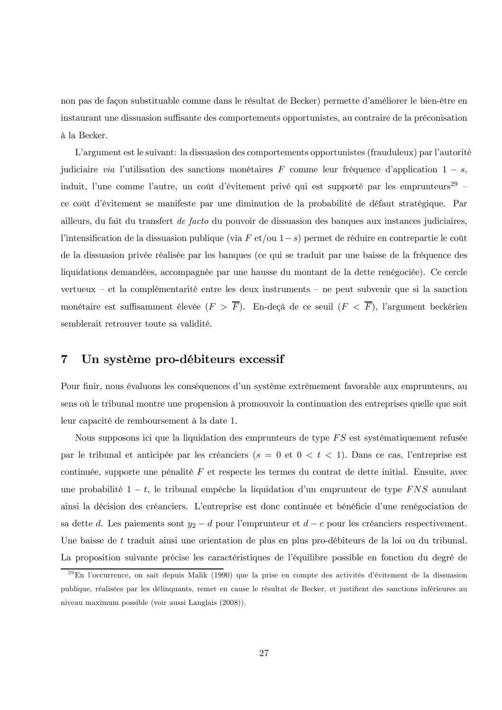non pas de façon substituable comme dans le résultat de Becker) permette d'améliorer le bien-être en instaurant une dissuasion suffisante des comportements opportunistes, au contraire de la préconisation à la Becker.

L'argument est le suivant: la dissuasion des comportements opportunistes (frauduleux) par l'autorité judiciaire via l'utilisation des sanctions monétaires F comme leur fréquence d'application  $1 - s$ , induit, l'une comme l'autre, un coût d'évitement privé qui est supporté par les emprunteurs<sup>29</sup> ce coût d'évitement se manifeste par une diminution de la probabilité de défaut stratégique. Par ailleurs, du fait du transfert *de facto* du pouvoir de dissuasion des banques aux instances judiciaires, l'intensification de la dissuasion publique (via F et/ou  $1-s$ ) permet de réduire en contrepartie le coût de la dissuasion privée réalisée par les banques (ce qui se traduit par une baisse de la fréquence des liquidations demandées, accompagnée par une hausse du montant de la dette renégociée). Ce cercle vertueux – et la complémentarité entre les deux instruments – ne peut subvenir que si la sanction monétaire est suffisamment élevée  $(F > \overline{F})$ . En-deçà de ce seuil  $(F < \overline{F})$ , l'argument beckérien semblerait retrouver toute sa validité.

#### $\overline{7}$ Un système pro-débiteurs excessif

Pour finir, nous évaluons les conséquences d'un système extrêmement favorable aux emprunteurs, au sens où le tribunal montre une propension à promouvoir la continuation des entreprises quelle que soit leur capacité de remboursement à la date 1.

Nous supposons ici que la liquidation des emprunteurs de type FS est systématiquement refusée par le tribunal et anticipée par les créanciers ( $s = 0$  et  $0 < t < 1$ ). Dans ce cas, l'entreprise est continuée, supporte une pénalité  $F$  et respecte les termes du contrat de dette initial. Ensuite, avec une probabilité  $1-t$ , le tribunal empêche la liquidation d'un emprunteur de type FNS annulant ainsi la décision des créanciers. L'entreprise est donc continuée et bénéficie d'une renégociation de sa dette d. Les paiements sont  $y_2 - d$  pour l'emprunteur et  $d - c$  pour les créanciers respectivement. Une baisse de t traduit ainsi une orientation de plus en plus pro-débiteurs de la loi ou du tribunal. La proposition suivante précise les caractéristiques de l'équilibre possible en fonction du degré de

 $^{29}$ En l'occurrence, on sait depuis Malik (1990) que la prise en compte des activités d'évitement de la dissuasion publique, réalisées par les délinquants, remet en cause le résultat de Becker, et justifient des sanctions inférieures au niveau maximum possible (voir aussi Langlais (2008)).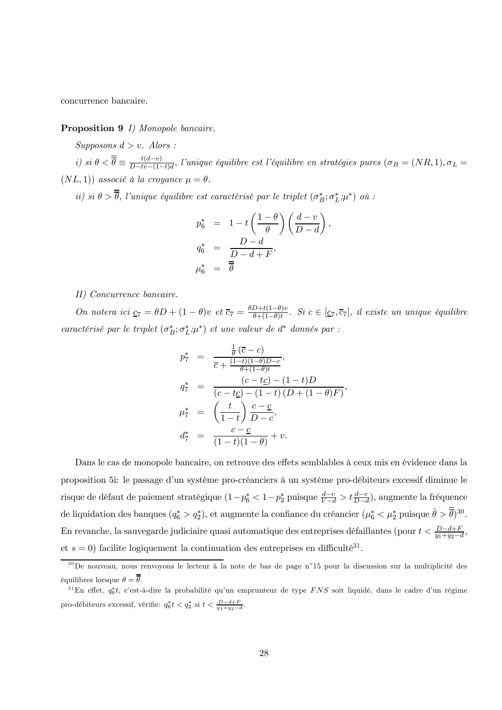concurrence bancaire.

### **Proposition 9** *I)* Monopole bancaire.

Supposons  $d > v$ . Alors :

i) si  $\theta < \overline{\overline{\theta}} \equiv \frac{t(d-v)}{D-tv-(1-t)d}$ , l'unique équilibre est l'équilibre en stratégies pures  $(\sigma_B = (NR, 1), \sigma_L =$  $(NL, 1)$  associé à la croyance  $\mu = \theta$ .

ii) si  $\theta > \overline{\overline{\theta}}$ , l'unique équilibre est caractérisé par le triplet  $(\sigma_B^*, \sigma_L^*, \mu^*)$  où :

$$
p_6^* = 1 - t \left(\frac{1-\theta}{\theta}\right) \left(\frac{d-v}{D-d}\right),
$$
  
\n
$$
q_6^* = \frac{D-d}{D-d+F},
$$
  
\n
$$
\mu_6^* = \overline{\overline{\theta}}
$$

II) Concurrence bancaire.

On notera ici  $\underline{c}_7 = \theta D + (1 - \theta)v$  et  $\overline{c}_7 = \frac{\theta D + t(1 - \theta)v}{\theta + (1 - \theta)t}$ . Si  $c \in [\underline{c}_7, \overline{c}_7]$ , il existe un unique équilibre caractérisé par le triplet  $(\sigma_B^*; \sigma_L^*, \mu^*)$  et une valeur de d<sup>\*</sup> donnés par :

$$
p_7^* = \frac{\frac{1}{\theta} (\overline{c} - c)}{\overline{c} + \frac{(1-t)(1-\theta)D - c}{\theta + (1-\theta)t}},
$$
  
\n
$$
q_7^* = \frac{(c - t_{\mathcal{L}}) - (1 - t)D}{(c - t_{\mathcal{L}}) - (1 - t) (D + (1 - \theta)F)}
$$
  
\n
$$
\mu_7^* = \left(\frac{t}{1-t}\right) \frac{c - c}{D - c},
$$
  
\n
$$
d_7^* = \frac{c - c}{(1-t)(1-\theta)} + v.
$$

Dans le cas de monopole bancaire, on retrouve des effets semblables à ceux mis en évidence dans la proposition 5: le passage d'un système pro-créanciers à un système pro-débiteurs excessif diminue le risque de défaut de paiement stratégique  $(1-p_6^* < 1-p_2^*$  puisque  $\frac{d-v}{V-d} > t\frac{d-v}{D-d}$ , augmente la fréquence de liquidation des banques  $(q_6^* > q_2^*)$ , et augmente la confiance du créancier  $(\mu_6^* < \mu_2^*$  puisque  $\hat{\theta} > \overline{\overline{\theta}})^{30}$ . En revanche, la sauvegarde judiciaire quasi automatique des entreprises défaillantes (pour  $t < \frac{D-d+F}{n_1+n_2-d}$ et  $s = 0$ ) facilite logiquement la continuation des entreprises en difficulté<sup>31</sup>.

 $30$ De nouveau, nous renvoyons le lecteur à la note de bas de page n°15 pour la discussion sur la multiplicité des équilibres lorsque  $\theta = \overline{\overline{\theta}}$ .

<sup>&</sup>lt;sup>31</sup>En effet,  $q_6^*t$ , c'est-à-dire la probabilité qu'un emprunteur de type FNS soit liquidé, dans le cadre d'un régime pro-débiteurs excessif, vérifie:  $q_6^*t < q_2^*$  si  $t < \frac{D-d+F}{y_1+y_2-d}$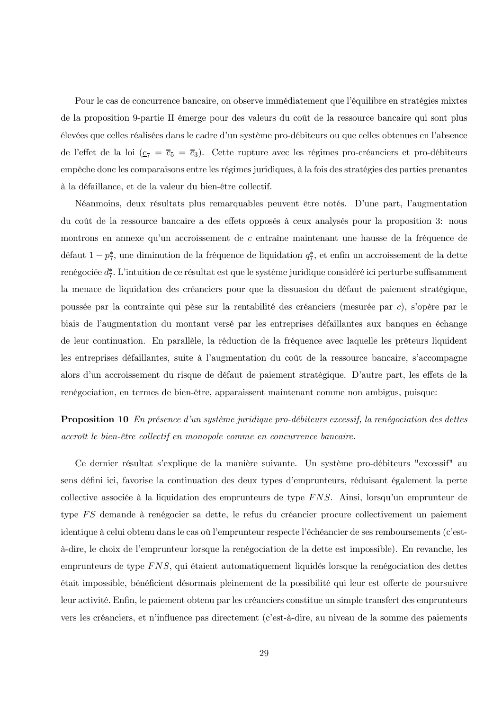Pour le cas de concurrence bancaire, on observe immédiatement que l'équilibre en stratégies mixtes de la proposition 9-partie II émerge pour des valeurs du coût de la ressource bancaire qui sont plus élevées que celles réalisées dans le cadre d'un système pro-débiteurs ou que celles obtenues en l'absence de l'effet de la loi  $(\underline{c}_7 = \overline{c}_5 = \overline{c}_3)$ . Cette rupture avec les régimes pro-créanciers et pro-débiteurs empêche donc les comparaisons entre les régimes juridiques, à la fois des stratégies des parties prenantes à la défaillance, et de la valeur du bien-être collectif.

Néanmoins, deux résultats plus remarquables peuvent être notés. D'une part, l'augmentation du coût de la ressource bancaire a des effets opposés à ceux analysés pour la proposition 3: nous montrons en annexe qu'un accroissement de c entraîne maintenant une hausse de la fréquence de défaut  $1 - p_7^*$ , une diminution de la fréquence de liquidation  $q_7^*$ , et enfin un accroissement de la dette renégociée  $d_7^*$ . L'intuition de ce résultat est que le système juridique considéré ici perturbe suffisamment la menace de liquidation des créanciers pour que la dissuasion du défaut de paiement stratégique, poussée par la contrainte qui pèse sur la rentabilité des créanciers (mesurée par c), s'opère par le biais de l'augmentation du montant versé par les entreprises défaillantes aux banques en échange de leur continuation. En parallèle, la réduction de la fréquence avec laquelle les prêteurs liquident les entreprises défaillantes, suite à l'augmentation du coût de la ressource bancaire, s'accompagne alors d'un accroissement du risque de défaut de paiement stratégique. D'autre part, les effets de la renégociation, en termes de bien-être, apparaissent maintenant comme non ambigus, puisque:

## **Proposition 10** En présence d'un système juridique pro-débiteurs excessif, la renégociation des dettes accroît le bien-être collectif en monopole comme en concurrence bancaire.

Ce dernier résultat s'explique de la manière suivante. Un système pro-débiteurs "excessif" au sens défini ici, favorise la continuation des deux types d'emprunteurs, réduisant également la perte collective associée à la liquidation des emprunteurs de type FNS. Ainsi, lorsqu'un emprunteur de type FS demande à renégocier sa dette, le refus du créancier procure collectivement un paiement identique à celui obtenu dans le cas où l'emprunteur respecte l'échéancier de ses remboursements (c'està-dire, le choix de l'emprunteur lorsque la renégociation de la dette est impossible). En revanche, les emprunteurs de type FNS, qui étaient automatiquement liquidés lorsque la renégociation des dettes était impossible, bénéficient désormais pleinement de la possibilité qui leur est offerte de poursuivre leur activité. Enfin, le paiement obtenu par les créanciers constitue un simple transfert des emprunteurs vers les créanciers, et n'influence pas directement (c'est-à-dire, au niveau de la somme des paiements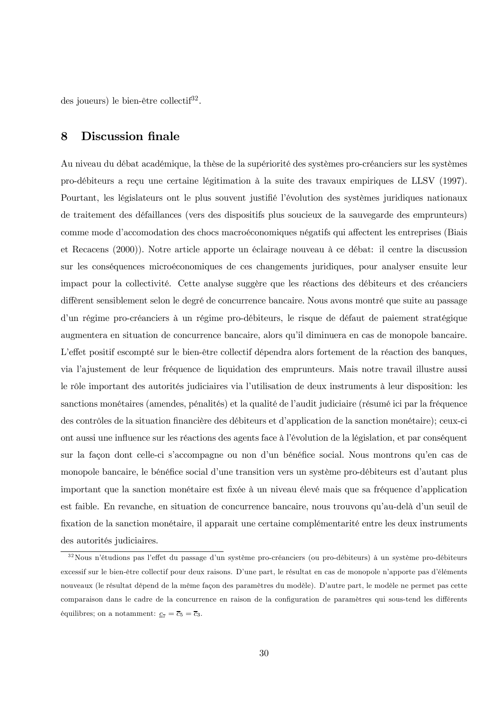des joueurs) le bien-être collectif<sup>32</sup>.

#### 8 **Discussion finale**

Au niveau du débat académique, la thèse de la supériorité des systèmes pro-créanciers sur les systèmes pro-débiteurs a reçu une certaine légitimation à la suite des travaux empiriques de LLSV (1997). Pourtant, les législateurs ont le plus souvent justifié l'évolution des systèmes juridiques nationaux de traitement des défaillances (vers des dispositifs plus soucieux de la sauvegarde des emprunteurs) comme mode d'accomodation des chocs macroéconomiques négatifs qui affectent les entreprises (Biais et Recacens (2000)). Notre article apporte un éclairage nouveau à ce débat: il centre la discussion sur les conséquences microéconomiques de ces changements juridiques, pour analyser ensuite leur impact pour la collectivité. Cette analyse suggère que les réactions des débiteurs et des créanciers diffèrent sensiblement selon le degré de concurrence bancaire. Nous avons montré que suite au passage d'un régime pro-créanciers à un régime pro-débiteurs, le risque de défaut de paiement stratégique augmentera en situation de concurrence bancaire, alors qu'il diminuera en cas de monopole bancaire. L'effet positif escompté sur le bien-être collectif dépendra alors fortement de la réaction des banques, via l'ajustement de leur fréquence de liquidation des emprunteurs. Mais notre travail illustre aussi le rôle important des autorités judiciaires via l'utilisation de deux instruments à leur disposition: les sanctions monétaires (amendes, pénalités) et la qualité de l'audit judiciaire (résumé ici par la fréquence des contrôles de la situation financière des débiteurs et d'application de la sanction monétaire); ceux-ci ont aussi une influence sur les réactions des agents face à l'évolution de la législation, et par conséquent sur la façon dont celle-ci s'accompagne ou non d'un bénéfice social. Nous montrons qu'en cas de monopole bancaire, le bénéfice social d'une transition vers un système pro-débiteurs est d'autant plus important que la sanction monétaire est fixée à un niveau élevé mais que sa fréquence d'application est faible. En revanche, en situation de concurrence bancaire, nous trouvons qu'au-delà d'un seuil de fixation de la sanction monétaire, il apparait une certaine complémentarité entre les deux instruments des autorités judiciaires.

<sup>32</sup> Nous n'étudions pas l'effet du passage d'un système pro-créanciers (ou pro-débiteurs) à un système pro-débiteurs excessif sur le bien-être collectif pour deux raisons. D'une part, le résultat en cas de monopole n'apporte pas d'éléments nouveaux (le résultat dépend de la même façon des paramètres du modèle). D'autre part, le modèle ne permet pas cette comparaison dans le cadre de la concurrence en raison de la configuration de paramètres qui sous-tend les différents équilibres; on a notamment:  $\underline{c}_7 = \overline{c}_5 = \overline{c}_3$ .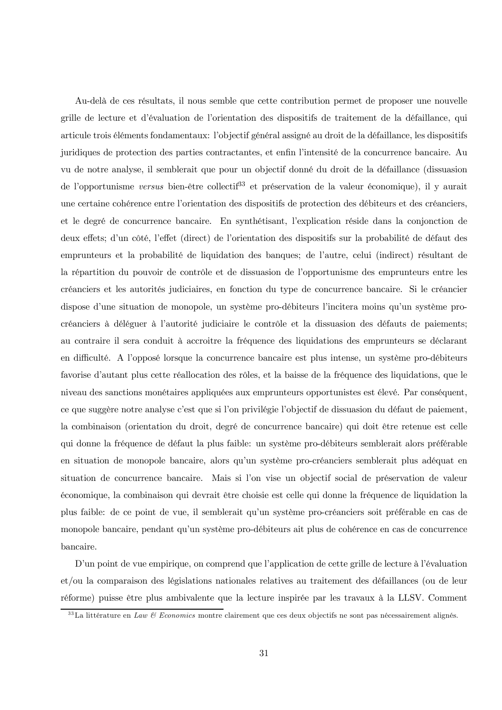Au-delà de ces résultats, il nous semble que cette contribution permet de proposer une nouvelle grille de lecture et d'évaluation de l'orientation des dispositifs de traitement de la défaillance, qui articule trois éléments fondamentaux: l'objectif général assigné au droit de la défaillance, les dispositifs juridiques de protection des parties contractantes, et enfin l'intensité de la concurrence bancaire. Au vu de notre analyse, il semblerait que pour un objectif donné du droit de la défaillance (dissuasion de l'opportunisme versus bien-être collectif<sup>33</sup> et préservation de la valeur économique), il y aurait une certaine cohérence entre l'orientation des dispositifs de protection des débiteurs et des créanciers, et le degré de concurrence bancaire. En synthétisant, l'explication réside dans la conjonction de deux effets; d'un côté, l'effet (direct) de l'orientation des dispositifs sur la probabilité de défaut des emprunteurs et la probabilité de liquidation des banques; de l'autre, celui (indirect) résultant de la répartition du pouvoir de contrôle et de dissuasion de l'opportunisme des emprunteurs entre les créanciers et les autorités judiciaires, en fonction du type de concurrence bancaire. Si le créancier dispose d'une situation de monopole, un système pro-débiteurs l'incitera moins qu'un système procréanciers à déléguer à l'autorité judiciaire le contrôle et la dissuasion des défauts de paiements; au contraire il sera conduit à accroitre la fréquence des liquidations des emprunteurs se déclarant en difficulté. A l'opposé lorsque la concurrence bancaire est plus intense, un système pro-débiteurs favorise d'autant plus cette réallocation des rôles, et la baisse de la fréquence des liquidations, que le niveau des sanctions monétaires appliquées aux emprunteurs opportunistes est élevé. Par conséquent, ce que suggère notre analyse c'est que si l'on privilégie l'objectif de dissuasion du défaut de paiement, la combinaison (orientation du droit, degré de concurrence bancaire) qui doit être retenue est celle qui donne la fréquence de défaut la plus faible: un système pro-débiteurs semblerait alors préférable en situation de monopole bancaire, alors qu'un système pro-créanciers semblerait plus adéquat en situation de concurrence bancaire. Mais si l'on vise un objectif social de préservation de valeur économique, la combinaison qui devrait être choisie est celle qui donne la fréquence de liquidation la plus faible: de ce point de vue, il semblerait qu'un système pro-créanciers soit préférable en cas de monopole bancaire, pendant qu'un système pro-débiteurs ait plus de cohérence en cas de concurrence bancaire.

D'un point de vue empirique, on comprend que l'application de cette grille de lecture à l'évaluation et/ou la comparaison des législations nationales relatives au traitement des défaillances (ou de leur réforme) puisse être plus ambivalente que la lecture inspirée par les travaux à la LLSV. Comment

<sup>&</sup>lt;sup>33</sup>La littérature en Law & Economics montre clairement que ces deux objectifs ne sont pas nécessairement alignés.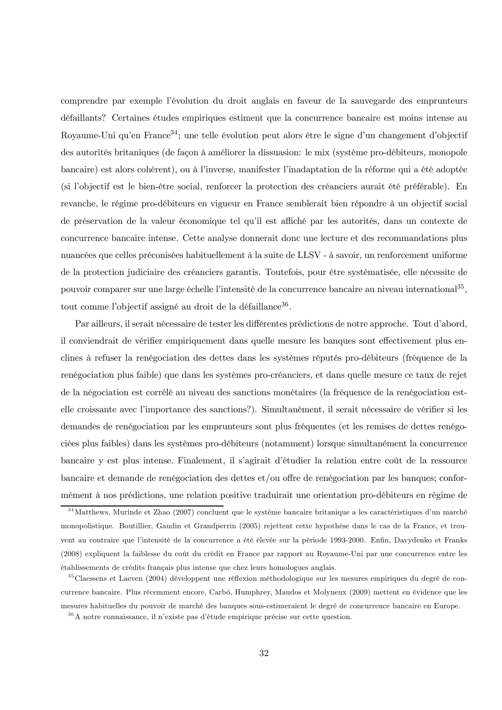comprendre par exemple l'évolution du droit anglais en faveur de la sauvegarde des emprunteurs défaillants? Certaines études empiriques estiment que la concurrence bancaire est moins intense au Royaume-Uni qu'en France<sup>34</sup>; une telle évolution peut alors être le signe d'un changement d'objectif des autorités britaniques (de façon à améliorer la dissuasion: le mix (système pro-débiteurs, monopole bancaire) est alors cohérent), ou à l'inverse, manifester l'inadaptation de la réforme qui a été adoptée (si l'objectif est le bien-être social, renforcer la protection des créanciers aurait été préférable). En revanche, le régime pro-débiteurs en vigueur en France semblerait bien répondre à un objectif social de préservation de la valeur économique tel qu'il est affiché par les autorités, dans un contexte de concurrence bancaire intense. Cette analyse donnerait donc une lecture et des recommandations plus nuancées que celles préconisées habituellement à la suite de LLSV - à savoir, un renforcement uniforme de la protection judiciaire des créanciers garantis. Toutefois, pour être systématisée, elle nécessite de pouvoir comparer sur une large échelle l'intensité de la concurrence bancaire au niveau international<sup>35</sup>, tout comme l'objectif assigné au droit de la défaillance<sup>36</sup>.

Par ailleurs, il serait nécessaire de tester les différentes prédictions de notre approche. Tout d'abord, il conviendrait de vérifier empiriquement dans quelle mesure les banques sont effectivement plus enclines à refuser la renégociation des dettes dans les systèmes réputés pro-débiteurs (fréquence de la renégociation plus faible) que dans les systèmes pro-créanciers, et dans quelle mesure ce taux de rejet de la négociation est corrélé au niveau des sanctions monétaires (la fréquence de la renégociation estelle croissante avec l'importance des sanctions?). Simultanément, il serait nécessaire de vérifier si les demandes de renégociation par les emprunteurs sont plus fréquentes (et les remises de dettes renégociées plus faibles) dans les systèmes pro-débiteurs (notamment) lorsque simultanément la concurrence bancaire y est plus intense. Finalement, il s'agirait d'étudier la relation entre coût de la ressource bancaire et demande de renégociation des dettes et/ou offre de renégociation par les banques; conformément à nos prédictions, une relation positive traduirait une orientation pro-débiteurs en régime de

 $34$ Matthews, Murinde et Zhao (2007) concluent que le système bancaire britanique a les caractéristiques d'un marché monopolistique. Boutillier, Gaudin et Grandperrin (2005) rejettent cette hypothèse dans le cas de la France, et trouvent au contraire que l'intensité de la concurrence a été élevée sur la période 1993-2000. Enfin, Davydenko et Franks (2008) expliquent la faiblesse du coût du crédit en France par rapport au Royaume-Uni par une concurrence entre les établissements de crédits français plus intense que chez leurs homologues anglais.

 $35$ Claessens et Laeven (2004) développent une réflexion méthodologique sur les mesures empiriques du degré de concurrence bancaire. Plus récemment encore, Carbó, Humphrey, Maudos et Molyneux (2009) mettent en évidence que les mesures habituelles du pouvoir de marché des banques sous-estimeraient le degré de concurrence bancaire en Europe.  $36$  A notre connaissance, il n'existe pas d'étude empirique précise sur cette question.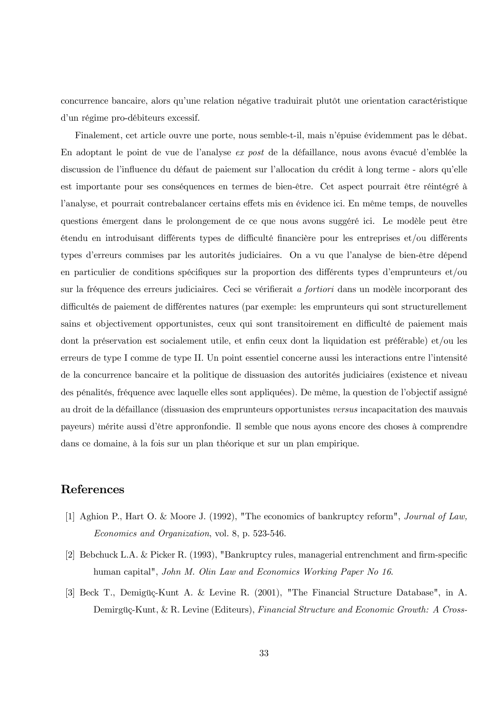concurrence bancaire, alors qu'une relation négative traduirait plutôt une orientation caractéristique d'un régime pro-débiteurs excessif.

Finalement, cet article ouvre une porte, nous semble-t-il, mais n'épuise évidemment pas le débat. En adoptant le point de vue de l'analyse ex post de la défaillance, nous avons évacué d'emblée la discussion de l'influence du défaut de paiement sur l'allocation du crédit à long terme - alors qu'elle est importante pour ses conséquences en termes de bien-être. Cet aspect pourrait être réintégré à l'analyse, et pourrait contrebalancer certains effets mis en évidence ici. En même temps, de nouvelles questions émergent dans le prolongement de ce que nous avons suggéré ici. Le modèle peut être étendu en introduisant différents types de difficulté financière pour les entreprises et/ou différents types d'erreurs commises par les autorités judiciaires. On a vu que l'analyse de bien-être dépend en particulier de conditions spécifiques sur la proportion des différents types d'emprunteurs et/ou sur la fréquence des erreurs judiciaires. Ceci se vérifierait a fortiori dans un modèle incorporant des difficultés de paiement de différentes natures (par exemple: les emprunteurs qui sont structurellement sains et objectivement opportunistes, ceux qui sont transitoirement en difficulté de paiement mais dont la préservation est socialement utile, et enfin ceux dont la liquidation est préférable) et/ou les erreurs de type I comme de type II. Un point essentiel concerne aussi les interactions entre l'intensité de la concurrence bancaire et la politique de dissuasion des autorités judiciaires (existence et niveau des pénalités, fréquence avec laquelle elles sont appliquées). De même, la question de l'objectif assigné au droit de la défaillance (dissuasion des emprunteurs opportunistes versus incapacitation des mauvais payeurs) mérite aussi d'être appronfondie. Il semble que nous ayons encore des choses à comprendre dans ce domaine, à la fois sur un plan théorique et sur un plan empirique.

### References

- [1] Aghion P., Hart O. & Moore J. (1992), "The economics of bankruptcy reform", Journal of Law, Economics and Organization, vol. 8, p. 523-546.
- [2] Bebchuck L.A. & Picker R. (1993), "Bankruptcy rules, managerial entrenchment and firm-specific human capital", John M. Olin Law and Economics Working Paper No 16.
- [3] Beck T., Demigüç-Kunt A. & Levine R. (2001), "The Financial Structure Database", in A. Demirgüç-Kunt, & R. Levine (Editeurs), Financial Structure and Economic Growth: A Cross-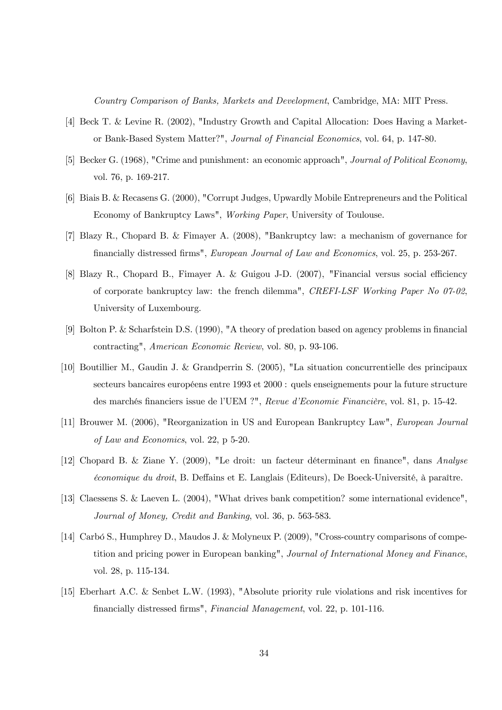Country Comparison of Banks, Markets and Development, Cambridge, MA: MIT Press.

- [4] Beck T. & Levine R. (2002), "Industry Growth and Capital Allocation: Does Having a Marketor Bank-Based System Matter?", Journal of Financial Economics, vol. 64, p. 147-80.
- [5] Becker G. (1968), "Crime and punishment: an economic approach", Journal of Political Economy, vol. 76, p. 169-217.
- [6] Biais B. & Recasens G. (2000), "Corrupt Judges, Upwardly Mobile Entrepreneurs and the Political Economy of Bankruptcy Laws", Working Paper, University of Toulouse.
- [7] Blazy R., Chopard B. & Fimayer A. (2008), "Bankruptcy law: a mechanism of governance for financially distressed firms", *European Journal of Law and Economics*, vol. 25, p. 253-267.
- [8] Blazy R., Chopard B., Fimayer A. & Guigou J-D. (2007), "Financial versus social efficiency of corporate bankruptcy law: the french dilemma", CREFI-LSF Working Paper No  $07-02$ . University of Luxembourg.
- [9] Bolton P. & Scharfstein D.S. (1990), "A theory of predation based on agency problems in financial contracting", American Economic Review, vol. 80, p. 93-106.
- [10] Boutillier M., Gaudin J. & Grandperrin S. (2005), "La situation concurrentielle des principaux secteurs bancaires européens entre 1993 et 2000 : quels enseignements pour la future structure des marchés financiers issue de l'UEM ?", Revue d'Economie Financière, vol. 81, p. 15-42.
- [11] Brouwer M. (2006), "Reorganization in US and European Bankruptcy Law", *European Journal* of Law and Economics, vol. 22, p 5-20.
- [12] Chopard B. & Ziane Y. (2009), "Le droit: un facteur déterminant en finance", dans Analyse *économique du droit*, B. Deffains et E. Langlais (Editeurs), De Boeck-Université, à paraître.
- [13] Claessens S. & Laeven L. (2004), "What drives bank competition? some international evidence", Journal of Money, Credit and Banking, vol. 36, p. 563-583.
- [14] Carbó S., Humphrey D., Maudos J. & Molyneux P. (2009), "Cross-country comparisons of competition and pricing power in European banking", Journal of International Money and Finance, vol. 28, p. 115-134.
- [15] Eberhart A.C. & Senbet L.W. (1993), "Absolute priority rule violations and risk incentives for financially distressed firms", Financial Management, vol. 22, p. 101-116.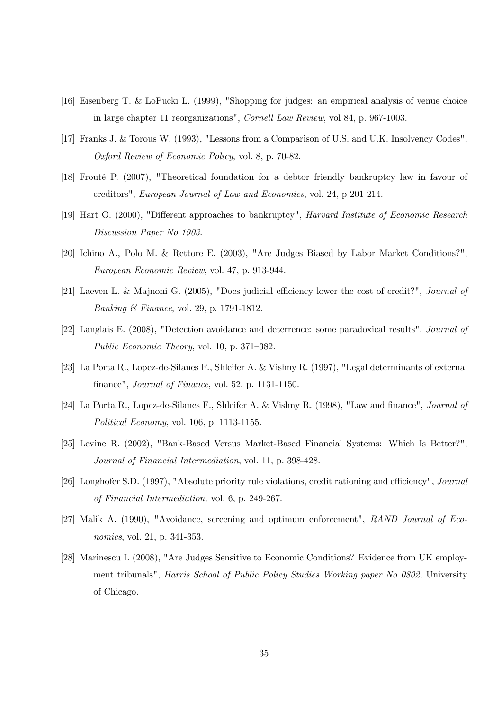- [16] Eisenberg T. & LoPucki L. (1999), "Shopping for judges: an empirical analysis of venue choice in large chapter 11 reorganizations", Cornell Law Review, vol 84, p. 967-1003.
- [17] Franks J. & Torous W. (1993), "Lessons from a Comparison of U.S. and U.K. Insolvency Codes", Oxford Review of Economic Policy, vol. 8, p. 70-82.
- [18] Frouté P. (2007), "Theoretical foundation for a debtor friendly bankruptcy law in favour of creditors", European Journal of Law and Economics, vol. 24, p 201-214.
- [19] Hart O. (2000), "Different approaches to bankruptcy", *Harvard Institute of Economic Research* Discussion Paper No 1903.
- [20] Ichino A., Polo M. & Rettore E. (2003), "Are Judges Biased by Labor Market Conditions?", European Economic Review, vol. 47, p. 913-944.
- [21] Laeven L. & Mainoni G. (2005). "Does judicial efficiency lower the cost of credit?". Journal of Banking & Finance, vol. 29, p. 1791-1812.
- [22] Langlais E. (2008), "Detection avoidance and deterrence: some paradoxical results", Journal of Public Economic Theory, vol. 10, p. 371-382.
- [23] La Porta R., Lopez-de-Silanes F., Shleifer A. & Vishny R. (1997), "Legal determinants of external finance", Journal of Finance, vol. 52, p. 1131-1150.
- [24] La Porta R., Lopez-de-Silanes F., Shleifer A. & Vishny R. (1998), "Law and finance", *Journal of* Political Economy, vol. 106, p. 1113-1155.
- [25] Levine R. (2002), "Bank-Based Versus Market-Based Financial Systems: Which Is Better?", Journal of Financial Intermediation, vol. 11, p. 398-428.
- [26] Longhofer S.D. (1997), "Absolute priority rule violations, credit rationing and efficiency", Journal of Financial Intermediation, vol. 6, p. 249-267.
- [27] Malik A. (1990), "Avoidance, screening and optimum enforcement", RAND Journal of Eco*nomics*, vol. 21, p. 341-353.
- [28] Marinescu I. (2008), "Are Judges Sensitive to Economic Conditions? Evidence from UK employment tribunals", *Harris School of Public Policy Studies Working paper No 0802*, University of Chicago.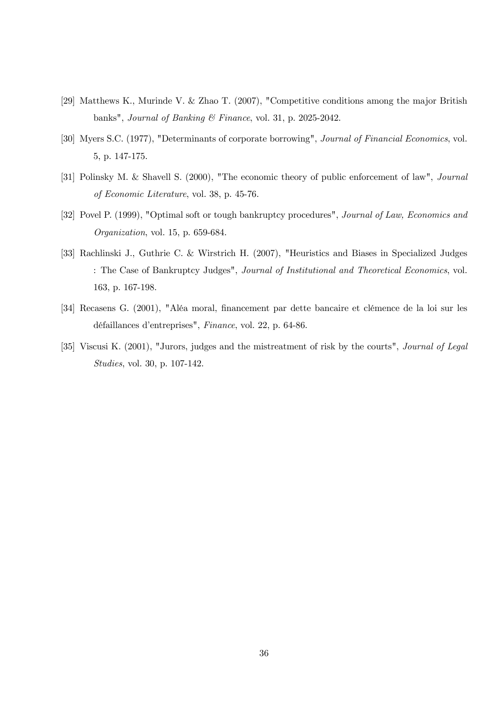- [29] Matthews K., Murinde V. & Zhao T. (2007), "Competitive conditions among the major British banks", Journal of Banking & Finance, vol. 31, p. 2025-2042.
- [30] Myers S.C. (1977), "Determinants of corporate borrowing", *Journal of Financial Economics*, vol. 5, p. 147-175.
- [31] Polinsky M. & Shavell S. (2000), "The economic theory of public enforcement of law", Journal of Economic Literature, vol. 38, p. 45-76.
- [32] Povel P. (1999), "Optimal soft or tough bankruptcy procedures", Journal of Law, Economics and Organization, vol. 15, p. 659-684.
- [33] Rachlinski J., Guthrie C. & Wirstrich H. (2007), "Heuristics and Biases in Specialized Judges : The Case of Bankruptcy Judges", Journal of Institutional and Theoretical Economics, vol. 163, p. 167-198.
- [34] Recasens G. (2001), "Aléa moral, financement par dette bancaire et clémence de la loi sur les défaillances d'entreprises", Finance, vol. 22, p. 64-86.
- [35] Viscusi K. (2001), "Jurors, judges and the mistreatment of risk by the courts", *Journal of Legal Studies*, vol. 30, p. 107-142.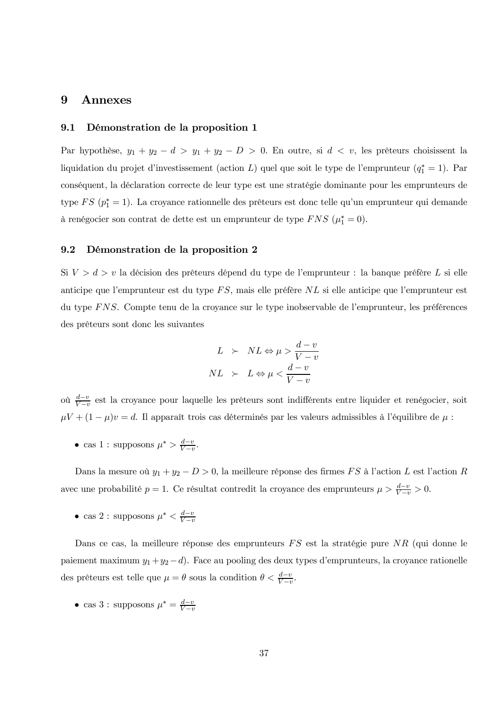#### 9 Annexes

#### 9.1 Démonstration de la proposition 1

Par hypothèse,  $y_1 + y_2 - d > y_1 + y_2 - D > 0$ . En outre, si  $d < v$ , les prêteurs choisissent la liquidation du projet d'investissement (action L) quel que soit le type de l'emprunteur  $(q_1^* = 1)$ . Par conséquent, la déclaration correcte de leur type est une stratégie dominante pour les emprunteurs de type  $FS(p_1^*=1)$ . La croyance rationnelle des prêteurs est donc telle qu'un emprunteur qui demande à renégocier son contrat de dette est un emprunteur de type FNS ( $\mu_1^* = 0$ ).

#### $9.2$ Démonstration de la proposition 2

Si  $V > d > v$  la décision des prêteurs dépend du type de l'emprunteur : la banque préfère L si elle anticipe que l'emprunteur est du type FS, mais elle préfère NL si elle anticipe que l'emprunteur est du type FNS. Compte tenu de la croyance sur le type inobservable de l'emprunteur, les préférences des prêteurs sont donc les suivantes

$$
L \succ NL \Leftrightarrow \mu > \frac{d-v}{V-v}
$$

$$
NL \succ L \Leftrightarrow \mu < \frac{d-v}{V-v}
$$

où  $\frac{d-v}{V-v}$  est la croyance pour laquelle les prêteurs sont indifférents entre liquider et renégocier, soit  $\mu V + (1 - \mu)v = d$ . Il apparaît trois cas déterminés par les valeurs admissibles à l'équilibre de  $\mu$ :

• cas 1 : supposons  $\mu^* > \frac{d-v}{V-v}$ .

Dans la mesure où  $y_1 + y_2 - D > 0$ , la meilleure réponse des firmes FS à l'action L est l'action R avec une probabilité  $p = 1$ . Ce résultat contredit la croyance des emprunteurs  $\mu > \frac{d-v}{V-v} > 0$ .

• cas 2 : supposons  $\mu^* < \frac{d-v}{V-v}$ 

Dans ce cas, la meilleure réponse des emprunteurs  $FS$  est la stratégie pure  $NR$  (qui donne le paiement maximum  $y_1 + y_2 - d$ . Face au pooling des deux types d'emprunteurs, la croyance rationelle des prêteurs est telle que  $\mu = \theta$  sous la condition  $\theta < \frac{d-v}{V-v}$ .

• cas 3 : supposons  $\mu^* = \frac{d-v}{V}$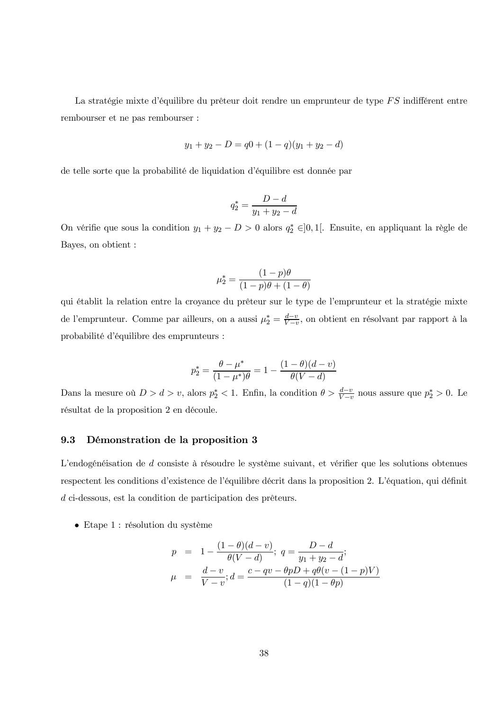La stratégie mixte d'équilibre du prêteur doit rendre un emprunteur de type  $FS$  indifférent entre rembourser et ne pas rembourser :

$$
y_1 + y_2 - D = q0 + (1 - q)(y_1 + y_2 - d)
$$

de telle sorte que la probabilité de liquidation d'équilibre est donnée par

$$
q_2^* = \frac{D - d}{y_1 + y_2 - d}
$$

On vérifie que sous la condition  $y_1 + y_2 - D > 0$  alors  $q_2^* \in ]0,1[$ . Ensuite, en appliquant la règle de Bayes, on obtient :

$$
\mu_2^* = \frac{(1-p)\theta}{(1-p)\theta + (1-\theta)}
$$

qui établit la relation entre la croyance du prêteur sur le type de l'emprunteur et la stratégie mixte de l'emprunteur. Comme par ailleurs, on a aussi  $\mu_2^* = \frac{d-v}{V-v}$ , on obtient en résolvant par rapport à la probabilité d'équilibre des emprunteurs :

$$
p_2^* = \frac{\theta - \mu^*}{(1 - \mu^*)\theta} = 1 - \frac{(1 - \theta)(d - v)}{\theta(V - d)}
$$

Dans la mesure où  $D > d > v$ , alors  $p_2^* < 1$ . Enfin, la condition  $\theta > \frac{d-v}{V-v}$  nous assure que  $p_2^* > 0$ . Le résultat de la proposition 2 en découle.

#### 9.3 Démonstration de la proposition 3

L'endogénéisation de *d* consiste à résoudre le système suivant, et vérifier que les solutions obtenues respectent les conditions d'existence de l'équilibre décrit dans la proposition 2. L'équation, qui définit  $d$  ci-dessous, est la condition de participation des prêteurs.

 $\bullet$  Etape 1 : résolution du système

$$
p = 1 - \frac{(1 - \theta)(d - v)}{\theta(V - d)}; \ q = \frac{D - d}{y_1 + y_2 - d};
$$
  

$$
\mu = \frac{d - v}{V - v}; d = \frac{c - qv - \theta pD + q\theta(v - (1 - p)V)}{(1 - q)(1 - \theta p)}
$$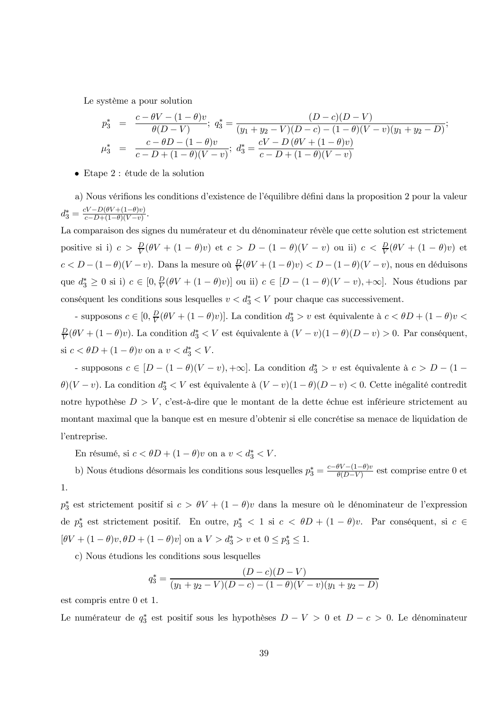Le système a pour solution

$$
p_3^* = \frac{c - \theta V - (1 - \theta)v}{\theta(D - V)}; \ q_3^* = \frac{(D - c)(D - V)}{(y_1 + y_2 - V)(D - c) - (1 - \theta)(V - v)(y_1 + y_2 - D)};
$$
  

$$
\mu_3^* = \frac{c - \theta D - (1 - \theta)v}{c - D + (1 - \theta)(V - v)}; \ d_3^* = \frac{cV - D(\theta V + (1 - \theta)v)}{c - D + (1 - \theta)(V - v)}
$$

 $\bullet$  Etape 2 : étude de la solution

a) Nous vérifions les conditions d'existence de l'équilibre défini dans la proposition 2 pour la valeur  $d_3^* = \frac{cV - D(\theta V + (1-\theta)v)}{c - D + (1-\theta)(V-v)}$ 

La comparaison des signes du numérateur et du dénominateur révèle que cette solution est strictement positive si i)  $c > \frac{D}{V}(\theta V + (1 - \theta)v)$  et  $c > D - (1 - \theta)(V - v)$  ou ii)  $c < \frac{D}{V}(\theta V + (1 - \theta)v)$  et  $c < D - (1 - \theta)(V - v)$ . Dans la mesure où  $\frac{D}{V}(\theta V + (1 - \theta)v) < D - (1 - \theta)(V - v)$ , nous en déduisons que  $d_3^* \geq 0$  si i)  $c \in [0, \frac{D}{V}(\theta V + (1 - \theta)v)]$  ou ii)  $c \in [D - (1 - \theta)(V - v), +\infty]$ . Nous étudions par conséquent les conditions sous lesquelles  $v < d_3^* < V$  pour chaque cas successivement.

- supposons  $c\in [0,\frac{D}{V}(\theta V+(1-\theta)v)].$  La condition  $d_3^*>v$  est équivalente à  $c<\theta D+(1-\theta)v<\theta$  $\frac{D}{V}(\theta V + (1 - \theta)v)$ . La condition  $d_3^* < V$  est équivalente à  $(V - v)(1 - \theta)(D - v) > 0$ . Par conséquent, si  $c < \theta D + (1 - \theta)v$  on a  $v < d_3^* < V$ .

- supposons  $c \in [D - (1 - \theta)(V - v), +\infty]$ . La condition  $d_3^* > v$  est équivalente à  $c > D - (1 \theta$ )(V – v). La condition  $d_3^* < V$  est équivalente à  $(V - v)(1 - \theta)(D - v) < 0$ . Cette inégalité contredit notre hypothèse  $D > V$ , c'est-à-dire que le montant de la dette échue est inférieure strictement au montant maximal que la banque est en mesure d'obtenir si elle concrétise sa menace de liquidation de l'entreprise.

En résumé, si  $c < \theta D + (1 - \theta)v$  on a  $v < d_3^* < V$ .

b) Nous étudions désormais les conditions sous lesquelles  $p_3^* = \frac{c-\theta V - (1-\theta)v}{\theta(D-V)}$  est comprise entre 0 et 1.

 $p_3^*$  est strictement positif si  $c > \theta V + (1 - \theta)v$  dans la mesure où le dénominateur de l'expression de  $p_3^*$  est strictement positif. En outre,  $p_3^*$  < 1 si  $c < \theta D + (1 - \theta)v$ . Par conséquent, si  $c \in$  $[\theta V + (1 - \theta)v, \theta D + (1 - \theta)v]$  on a  $V > d_3^* > v$  et  $0 \le p_3^* \le 1$ .

c) Nous étudions les conditions sous lesquelles

$$
q_3^* = \frac{(D-c)(D-V)}{(y_1+y_2-V)(D-c)-(1-\theta)(V-v)(y_1+y_2-D)}
$$

est compris entre  $0$  et 1.

Le numérateur de  $q_3^*$  est positif sous les hypothèses  $D - V > 0$  et  $D - c > 0$ . Le dénominateur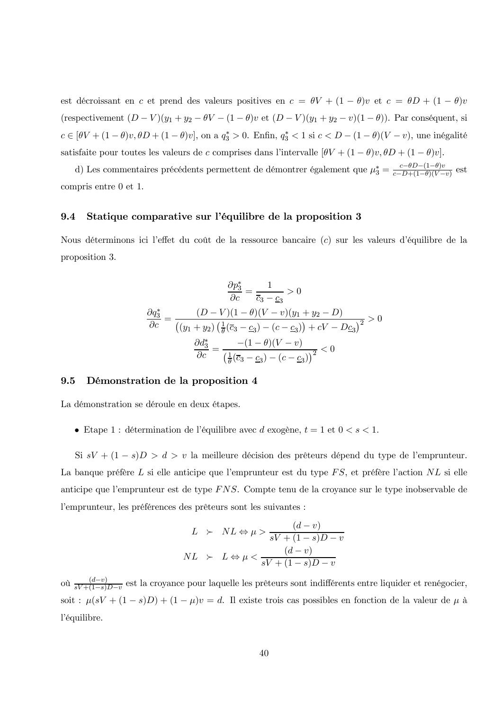est décroissant en c et prend des valeurs positives en  $c = \theta V + (1 - \theta)v$  et  $c = \theta D + (1 - \theta)v$ (respectivement  $(D - V)(y_1 + y_2 - \theta V - (1 - \theta)v$  et  $(D - V)(y_1 + y_2 - v)(1 - \theta)$ ). Par conséquent, si  $c\in [\theta V+(1-\theta)v,\theta D+(1-\theta)v],$ on a $q_3^*>0.$ Enfin<br/>, $q_3^*<1$  si $c< D-(1-\theta)(V-v),$ une inégalité satisfaite pour toutes les valeurs de c comprises dans l'intervalle  $[\theta V + (1 - \theta)v, \theta D + (1 - \theta)v]$ .

d) Les commentaires précédents permettent de démontrer également que  $\mu_3^* = \frac{c - \theta D - (1 - \theta)v}{c - D + (1 - \theta)(V - v)}$  est compris entre 0 et 1.

#### Statique comparative sur l'équilibre de la proposition 3 9.4

Nous déterminons ici l'effet du coût de la ressource bancaire (c) sur les valeurs d'équilibre de la proposition 3.

$$
\frac{\partial p_3^*}{\partial c} = \frac{1}{\overline{c}_3 - \underline{c}_3} > 0
$$

$$
\frac{\partial q_3^*}{\partial c} = \frac{(D - V)(1 - \theta)(V - v)(y_1 + y_2 - D)}{((y_1 + y_2)(\frac{1}{\theta}(\overline{c}_3 - \underline{c}_3) - (c - \underline{c}_3)) + cV - D\underline{c}_3)^2} > 0
$$

$$
\frac{\partial d_3^*}{\partial c} = \frac{-(1 - \theta)(V - v)}{(\frac{1}{\theta}(\overline{c}_3 - \underline{c}_3) - (c - \underline{c}_3))^2} < 0
$$

#### 9.5 Démonstration de la proposition 4

La démonstration se déroule en deux étapes.

• Etape 1 : détermination de l'équilibre avec d'exogène,  $t = 1$  et  $0 < s < 1$ .

Si  $sV + (1 - s)D > d > v$  la meilleure décision des prêteurs dépend du type de l'emprunteur. La banque préfère L si elle anticipe que l'emprunteur est du type  $FS$ , et préfère l'action  $NL$  si elle anticipe que l'emprunteur est de type  $FNS$ . Compte tenu de la croyance sur le type inobservable de l'emprunteur, les préférences des prêteurs sont les suivantes :

$$
L \succ NL \Leftrightarrow \mu > \frac{(d-v)}{sV + (1-s)D - v}
$$

$$
NL \succ L \Leftrightarrow \mu < \frac{(d-v)}{sV + (1-s)D - v}
$$

où  $\frac{(d-v)}{sV+(1-s)D-v}$  est la croyance pour laquelle les prêteurs sont indifférents entre liquider et renégocier, soit :  $\mu(sV + (1-s)D) + (1-\mu)v = d$ . Il existe trois cas possibles en fonction de la valeur de  $\mu$  à l'équilibre.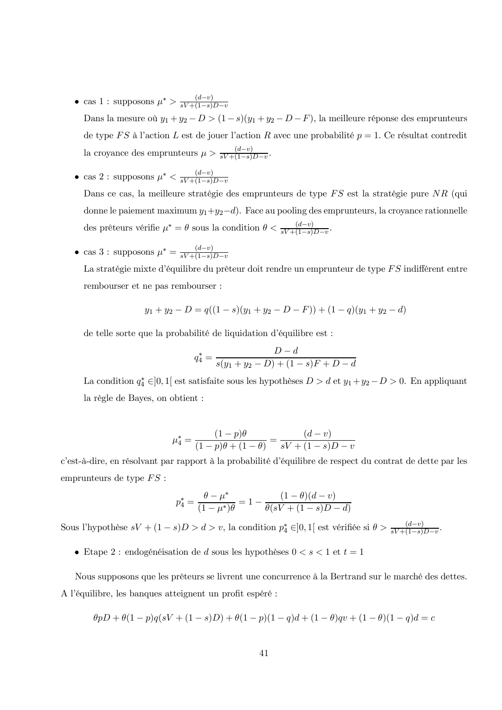$\bullet\,$ cas $1$ : supposons $\mu^*>\frac{(d-v)}{sV+(1-s)D-v}$ 

Dans la mesure où  $y_1 + y_2 - D > (1 - s)(y_1 + y_2 - D - F)$ , la meilleure réponse des emprunteurs de type FS à l'action L est de jouer l'action R avec une probabilité  $p = 1$ . Ce résultat contredit la croyance des emprunteurs  $\mu > \frac{(d-v)}{sV + (1-s)D-v}$ 

 $\bullet \text{ cas } 2: \text{ supposons } \mu^* < \frac{(d-v)}{sV+(1-s)D-v}$ 

Dans ce cas, la meilleure stratégie des emprunteurs de type FS est la stratégie pure NR (qui donne le paiement maximum  $y_1+y_2-d$ . Face au pooling des emprunteurs, la croyance rationnelle des prêteurs vérifie  $\mu^* = \theta$  sous la condition  $\theta < \frac{(d-v)}{sV + (1-s)D-v}$ 

• cas 3 : supposons  $\mu^* = \frac{(d-v)}{sV + (1-s)D - v}$ 

La stratégie mixte d'équilibre du prêteur doit rendre un emprunteur de type FS indifférent entre rembourser et ne pas rembourser :

$$
y_1 + y_2 - D = q((1 - s)(y_1 + y_2 - D - F)) + (1 - q)(y_1 + y_2 - d)
$$

de telle sorte que la probabilité de liquidation d'équilibre est :

$$
q_4^* = \frac{D - d}{s(y_1 + y_2 - D) + (1 - s)F + D - d}
$$

La condition  $q_4^* \in ]0,1[$  est satisfaite sous les hypothèses  $D > d$  et  $y_1 + y_2 - D > 0$ . En appliquant la règle de Bayes, on obtient :

$$
\mu_4^* = \frac{(1-p)\theta}{(1-p)\theta + (1-\theta)} = \frac{(d-v)}{sV + (1-s)D - v}
$$

c'est-à-dire, en résolvant par rapport à la probabilité d'équilibre de respect du contrat de dette par les emprunteurs de type  $FS$ :

$$
p_4^* = \frac{\theta - \mu^*}{(1 - \mu^*)\theta} = 1 - \frac{(1 - \theta)(d - v)}{\theta(sV + (1 - s)D - d)}
$$

Sous l'hypothèse  $sV + (1 - s)D > d > v$ , la condition  $p_4^* \in ]0,1[$  est vérifiée si  $\theta > \frac{(d-v)}{sV + (1-s)D - v}$ .

 $\bullet\,$ Etape $2$ : endogénéisation de  $d$  sous les hypothèses  $0 < s < 1$  et  $t = 1$ 

Nous supposons que les prêteurs se livrent une concurrence à la Bertrand sur le marché des dettes. A l'équilibre, les banques atteignent un profit espéré :

$$
\theta pD + \theta (1 - p)q(sV + (1 - s)D) + \theta (1 - p)(1 - q)d + (1 - \theta)qv + (1 - \theta)(1 - q)d = c
$$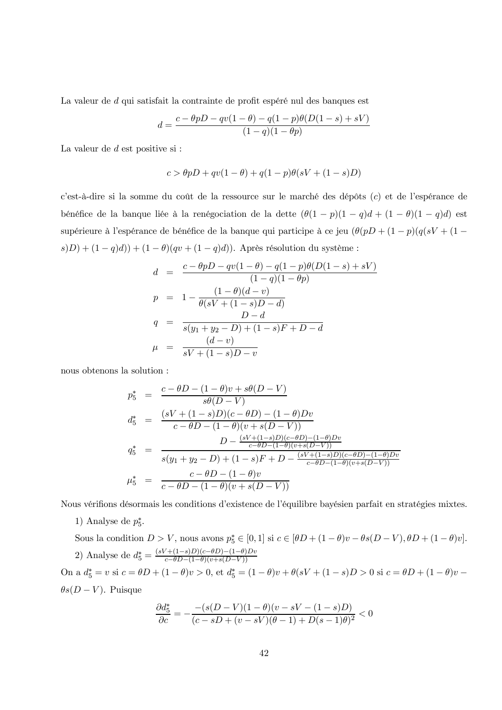La valeur de *d* qui satisfait la contrainte de profit espéré nul des banques est

$$
d = \frac{c - \theta pD - qv(1 - \theta) - q(1 - p)\theta(D(1 - s) + sV)}{(1 - q)(1 - \theta p)}
$$

La valeur de  $d$  est positive si :

$$
c > \theta pD + qv(1 - \theta) + q(1 - p)\theta(sV + (1 - s)D)
$$

c'est-à-dire si la somme du coût de la ressource sur le marché des dépôts  $(c)$  et de l'espérance de bénéfice de la banque liée à la renégociation de la dette  $(\theta(1-p)(1-q)d + (1-\theta)(1-q)d)$  est supérieure à l'espérance de bénéfice de la banque qui participe à ce jeu  $\big(\theta(pD + (1-p)(q(sV + (1-p)\cdot \theta))\big)$  $s(D)+(1-q)d))+(1-\theta)(qv+(1-q)d)).$  Après résolution du système :

$$
d = \frac{c - \theta pD - qv(1 - \theta) - q(1 - p)\theta(D(1 - s) + sV)}{(1 - q)(1 - \theta p)}
$$
  
\n
$$
p = 1 - \frac{(1 - \theta)(d - v)}{\theta(sV + (1 - s)D - d)}
$$
  
\n
$$
q = \frac{D - d}{s(y_1 + y_2 - D) + (1 - s)F + D - d}
$$
  
\n
$$
\mu = \frac{(d - v)}{sV + (1 - s)D - v}
$$

nous obtenons la solution :

$$
p_5^* = \frac{c - \theta D - (1 - \theta)v + s\theta(D - V)}{s\theta(D - V)}
$$
  
\n
$$
d_5^* = \frac{(sV + (1 - s)D)(c - \theta D) - (1 - \theta)Dv}{c - \theta D - (1 - \theta)(v + s(D - V))}
$$
  
\n
$$
q_5^* = \frac{D - \frac{(sV + (1 - s)D)(c - \theta D) - (1 - \theta)Dv}{c - \theta D - (1 - \theta)(v + s(D - V))}}{s(y_1 + y_2 - D) + (1 - s)F + D - \frac{(sV + (1 - s)D)(c - \theta D) - (1 - \theta)Dv}{c - \theta D - (1 - \theta)(v + s(D - V))}}
$$
  
\n
$$
\mu_5^* = \frac{c - \theta D - (1 - \theta)v}{c - \theta D - (1 - \theta)(v + s(D - V))}
$$

Nous vérifions désormais les conditions d'existence de l'équilibre bayésien parfait en stratégies mixtes.

1) Analyse de  $p_5^*$ .

Sous la condition  $D > V$ , nous avons  $p_5^* \in [0,1]$  si  $c \in [\theta D + (1-\theta)v - \theta s(D-V), \theta D + (1-\theta)v]$ . 2) Analyse de  $d_5^* = \frac{(sV + (1-s)D)(c - \theta D) - (1-\theta)Dv}{c - \theta D - (1-\theta)(v + s(D-V))}$ On a  $d_5^* = v$  si  $c = \theta D + (1 - \theta)v > 0$ , et  $d_5^* = (1 - \theta)v + \theta(sV + (1 - s)D > 0$  si  $c = \theta D + (1 - \theta)v$  $\theta s(D-V)$ . Puisque

$$
\frac{\partial d_5^*}{\partial c}=-\frac{-(s(D-V)(1-\theta)(v-sV-(1-s)D)}{(c-sD+(v-sV)(\theta-1)+D(s-1)\theta)^2}<0
$$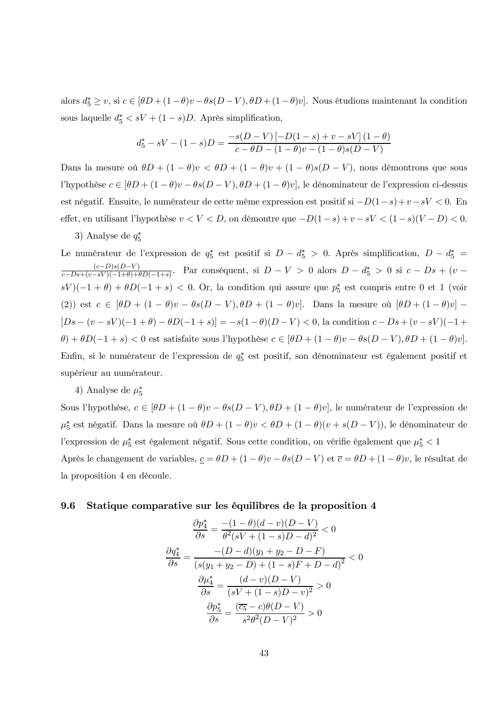alors  $d_5^* \geq v$ , si  $c \in [\theta D + (1 - \theta)v - \theta s(D - V), \theta D + (1 - \theta)v]$ . Nous étudions maintenant la condition sous laquelle  $d_5^* < sV + (1 - s)D$ . Après simplification,

$$
d_5^* - sV - (1 - s)D = \frac{-s(D - V) \left[ -D(1 - s) + v - sV \right] (1 - \theta)}{c - \theta D - (1 - \theta)v - (1 - \theta)s(D - V)}
$$

Dans la mesure où  $\theta D + (1 - \theta)v < \theta D + (1 - \theta)v + (1 - \theta)s(D - V)$ , nous démontrons que sous l'hypothèse  $c \in [\theta D + (1 - \theta)v - \theta s(D - V), \theta D + (1 - \theta)v]$ , le dénominateur de l'expression ci-dessus est négatif. Ensuite, le numérateur de cette même expression est positif si  $-D(1-s)+v-sV < 0$ . En effet, en utilisant l'hypothèse  $v < V < D$ , on démontre que  $-D(1-s)+v-sV < (1-s)(V-D) < 0$ .

### 3) Analyse de  $q_5^*$

Le numérateur de l'expression de  $q_5^*$  est positif si  $D - d_5^* > 0$ . Après simplification,  $D - d_5^* =$  $\frac{(c-D)s(D-V)}{c-Ds+(v-sV)(-1+\theta)+(D(-1+s))}$ . Par conséquent, si  $D-V > 0$  alors  $D-d_5^* > 0$  si  $c-Ds+(v-sV)(-1+\theta)+(D(-1+s))$ .  $sV(-1+\theta)+\theta D(-1+s)$  < 0. Or, la condition qui assure que  $p_5^*$  est compris entre 0 et 1 (voir (2)) est  $c \in [\theta D + (1 - \theta)v - \theta s(D - V), \theta D + (1 - \theta)v]$ . Dans la mesure où  $[\theta D + (1 - \theta)v]$  $[Ds - (v - sV)(-1 + \theta) - \theta D(-1 + s)] = -s(1 - \theta)(D - V) < 0$ , la condition  $c - Ds + (v - sV)(-1 +$  $\theta$  +  $\theta D(-1+s)$  < 0 est satisfaite sous l'hypothèse  $c \in [\theta D + (1-\theta)v - \theta s(D-V), \theta D + (1-\theta)v]$ . Enfin, si le numérateur de l'expression de  $q_5^*$  est positif, son dénominateur est également positif et supérieur au numérateur.

### 4) Analyse de  $\mu_5^*$

Sous l'hypothèse,  $c \in [\theta D + (1 - \theta)v - \theta s(D - V), \theta D + (1 - \theta)v]$ , le numérateur de l'expression de  $\mu_5^*$  est négatif. Dans la mesure où  $\theta D + (1 - \theta)v < \theta D + (1 - \theta)(v + s(D - V))$ , le dénominateur de l'expression de  $\mu_5^*$  est également négatif. Sous cette condition, on vérifie également que  $\mu_5^* < 1$ Après le changement de variables,  $\underline{c} = \theta D + (1 - \theta)v - \theta s(D - V)$  et  $\overline{c} = \theta D + (1 - \theta)v$ , le résultat de la proposition 4 en découle.

#### 9.6 Statique comparative sur les équilibres de la proposition 4

 $\mathcal{L}$ 

$$
\frac{\partial p_4^*}{\partial s} = \frac{-(1-\theta)(d-v)(D-V)}{\theta^2(sV + (1-s)D - d)^2} < 0
$$

$$
\frac{\partial q_4^*}{\partial s} = \frac{-(D-d)(y_1 + y_2 - D - F)}{(s(y_1 + y_2 - D) + (1-s)F + D - d)^2} < 0
$$

$$
\frac{\partial \mu_4^*}{\partial s} = \frac{(d-v)(D-V)}{(sV + (1-s)D - v)^2} > 0
$$

$$
\frac{\partial p_5^*}{\partial s} = \frac{(\overline{c_5} - c)\theta(D-V)}{s^2\theta^2(D-V)^2} > 0
$$

 $\sim$   $\sim$   $\sim$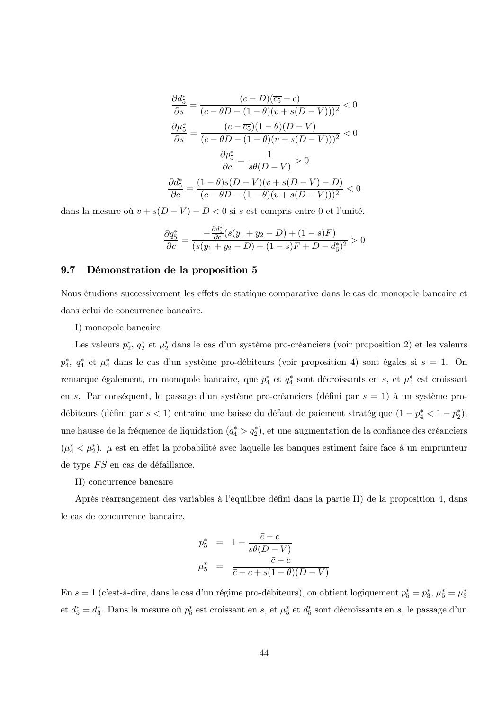$$
\frac{\partial d_5^*}{\partial s} = \frac{(c-D)(\overline{c_5} - c)}{(c - \theta D - (1 - \theta)(v + s(D - V)))^2} < 0
$$

$$
\frac{\partial \mu_5^*}{\partial s} = \frac{(c - \overline{c_5})(1 - \theta)(D - V)}{(c - \theta D - (1 - \theta)(v + s(D - V)))^2} < 0
$$

$$
\frac{\partial p_5^*}{\partial c} = \frac{1}{s\theta(D - V)} > 0
$$

$$
\frac{\partial d_5^*}{\partial c} = \frac{(1 - \theta)s(D - V)(v + s(D - V) - D)}{(c - \theta D - (1 - \theta)(v + s(D - V)))^2} < 0
$$

dans la mesure où  $v+s(D-V)-D<0$  si  $s$  est compris entre  $0$  et l'unité.

$$
\frac{\partial q_5^*}{\partial c} = \frac{-\frac{\partial d_5^*}{\partial c}(s(y_1 + y_2 - D) + (1 - s)F)}{(s(y_1 + y_2 - D) + (1 - s)F + D - d_5^*)^2} > 0
$$

#### $9.7$ Démonstration de la proposition 5

Nous étudions successivement les effets de statique comparative dans le cas de monopole bancaire et dans celui de concurrence bancaire.

I) monopole bancaire

Les valeurs  $p_2^*$ ,  $q_2^*$  et  $\mu_2^*$  dans le cas d'un système pro-créanciers (voir proposition 2) et les valeurs  $p_4^*$ ,  $q_4^*$  et  $\mu_4^*$  dans le cas d'un système pro-débiteurs (voir proposition 4) sont égales si  $s = 1$ . On remarque également, en monopole bancaire, que  $p_4^*$  et  $q_4^*$  sont décroissants en  $s$ , et  $\mu_4^*$  est croissant en s. Par conséquent, le passage d'un système pro-créanciers (défini par  $s = 1$ ) à un système prodébiteurs (défini par  $s<1)$  entraîne une baisse du défaut de paiement stratégique  $(1-p_4^* < 1-p_2^*),$ une hausse de la fréquence de liquidation  $(q_4^* > q_2^*)$ , et une augmentation de la confiance des créanciers  $(\mu_4^* \langle \mu_2^* \rangle)$ .  $\mu$  est en effet la probabilité avec laquelle les banques estiment faire face à un emprunteur de type  $FS$  en cas de défaillance.

II) concurrence bancaire

Après réarrangement des variables à l'équilibre défini dans la partie II) de la proposition 4, dans le cas de concurrence bancaire,

$$
p_5^* = 1 - \frac{\bar{c} - c}{s\theta(D - V)}
$$

$$
\mu_5^* = \frac{\bar{c} - c}{\bar{c} - c + s(1 - \theta)(D - V)}
$$

En  $s = 1$  (c'est-à-dire, dans le cas d'un régime pro-débiteurs), on obtient logiquement  $p_5^* = p_3^*$ ,  $\mu_5^* = \mu_3^*$ et  $d_5^* = d_3^*$ . Dans la mesure où  $p_5^*$  est croissant en  $s$ , et  $\mu_5^*$  et  $d_5^*$  sont décroissants en  $s$ , le passage d'un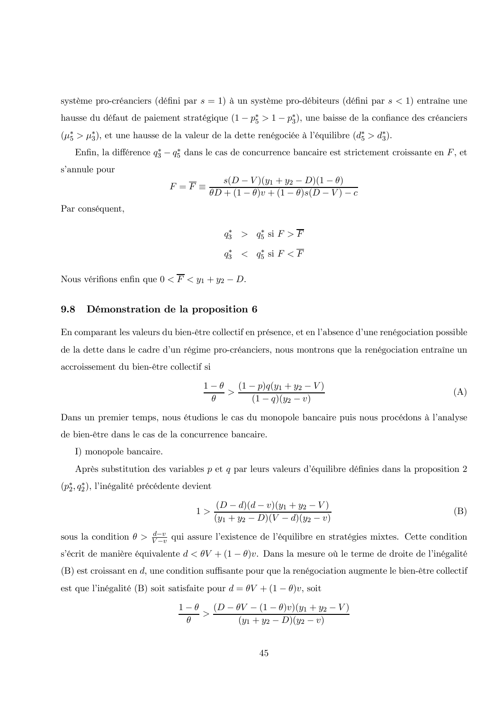système pro-créanciers (défini par  $s = 1$ ) à un système pro-débiteurs (défini par  $s < 1$ ) entraîne une hausse du défaut de paiement stratégique  $(1 - p_5^* > 1 - p_3^*)$ , une baisse de la confiance des créanciers  $(\mu_5^* > \mu_3^*)$ , et une hausse de la valeur de la dette renégociée à l'équilibre  $(d_5^* > d_3^*)$ .

Enfin, la différence  $q_3^* - q_5^*$  dans le cas de concurrence bancaire est strictement croissante en  $F$ , et s'annule pour

$$
F = \overline{F} \equiv \frac{s(D - V)(y_1 + y_2 - D)(1 - \theta)}{\theta D + (1 - \theta)v + (1 - \theta)s(D - V) - c}
$$

Par conséquent,

 $q_3^*$  >  $q_5^*$  si  $F > \overline{F}$  $q_3^*$  <  $q_5^*$  si  $F \lt \overline{F}$ 

Nous vérifions enfin que  $0 < \overline{F} < y_1 + y_2 - D$ .

#### 9.8 Démonstration de la proposition 6

En comparant les valeurs du bien-être collectif en présence, et en l'absence d'une renégociation possible de la dette dans le cadre d'un régime pro-créanciers, nous montrons que la renégociation entraîne un accroissement du bien-être collectif si

$$
\frac{1-\theta}{\theta} > \frac{(1-p)q(y_1 + y_2 - V)}{(1-q)(y_2 - v)}
$$
(A)

Dans un premier temps, nous étudions le cas du monopole bancaire puis nous procédons à l'analyse de bien-être dans le cas de la concurrence bancaire.

I) monopole bancaire.

Après substitution des variables  $p$  et  $q$  par leurs valeurs d'équilibre définies dans la proposition 2  $(p_2^*, q_2^*)$ , l'inégalité précédente devient

$$
1 > \frac{(D-d)(d-v)(y_1+y_2-V)}{(y_1+y_2-D)(V-d)(y_2-v)}
$$
(B)

sous la condition  $\theta > \frac{d-v}{V-v}$  qui assure l'existence de l'équilibre en stratégies mixtes. Cette condition s'écrit de manière équivalente  $d < \theta V + (1 - \theta)v$ . Dans la mesure où le terme de droite de l'inégalité  $(B)$  est croissant en  $d$ , une condition suffisante pour que la renégociation augmente le bien-être collectif est que l'inégalité (B) soit satisfaite pour  $d = \theta V + (1 - \theta)v$ , soit

$$
\frac{1-\theta}{\theta} > \frac{(D-\theta V - (1-\theta)v)(y_1 + y_2 - V)}{(y_1 + y_2 - D)(y_2 - v)}
$$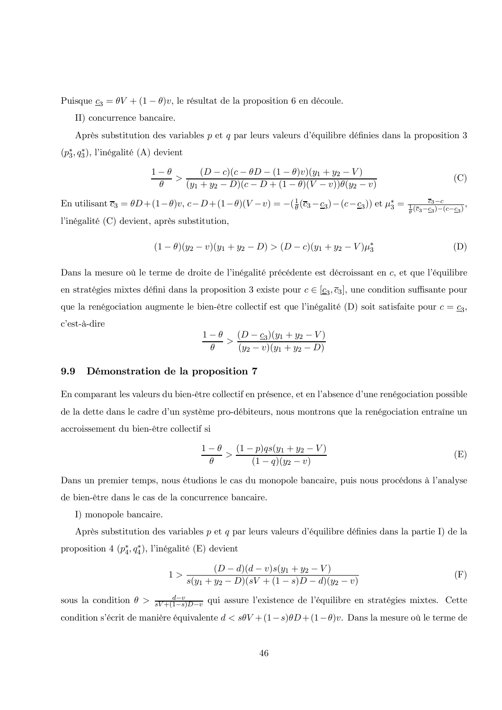Puisque  $\underline{c}_3 = \theta V + (1 - \theta)v$ , le résultat de la proposition 6 en découle.

II) concurrence bancaire.

Après substitution des variables  $p$  et  $q$  par leurs valeurs d'équilibre définies dans la proposition 3  $(p_3^*, q_3^*)$ , l'inégalité (A) devient

$$
\frac{1-\theta}{\theta} > \frac{(D-c)(c-\theta D - (1-\theta)v)(y_1 + y_2 - V)}{(y_1 + y_2 - D)(c - D + (1-\theta)(V-v))\theta(y_2 - v)}
$$
(C)

En utilisant  $\overline{c}_3 = \theta D + (1-\theta)v$ ,  $c - D + (1-\theta)(V-v) = -(\frac{1}{\theta}(\overline{c}_3 - \underline{c}_3) - (c - \underline{c}_3))$  et  $\mu_3^* = \frac{\overline{c}_3 - c}{\frac{1}{\theta}(\overline{c}_3 - \underline{c}_3) - (c - \underline{c}_3)}$ , l'inégalité (C) devient, après substitution,

$$
(1 - \theta)(y_2 - v)(y_1 + y_2 - D) > (D - c)(y_1 + y_2 - V)\mu_3^*
$$
 (D)

Dans la mesure où le terme de droite de l'inégalité précédente est décroissant en c, et que l'équilibre en stratégies mixtes défini dans la proposition 3 existe pour  $c \in [\underline{c}_3, \overline{c}_3]$ , une condition suffisante pour que la renégociation augmente le bien-être collectif est que l'inégalité (D) soit satisfaite pour  $c = \underline{c}_3$ , c'est-à-dire

$$
\frac{1-\theta}{\theta} > \frac{(D-\underline{c}_3)(y_1+y_2-V)}{(y_2-v)(y_1+y_2-D)}
$$

#### Démonstration de la proposition 7 9.9

En comparant les valeurs du bien-être collectif en présence, et en l'absence d'une renégociation possible de la dette dans le cadre d'un système pro-débiteurs, nous montrons que la renégociation entraîne un accroissement du bien-être collectif si

$$
\frac{1-\theta}{\theta} > \frac{(1-p)qs(y_1 + y_2 - V)}{(1-q)(y_2 - v)}
$$
(E)

Dans un premier temps, nous étudions le cas du monopole bancaire, puis nous procédons à l'analyse de bien-être dans le cas de la concurrence bancaire.

I) monopole bancaire.

Après substitution des variables  $p$  et  $q$  par leurs valeurs d'équilibre définies dans la partie I) de la proposition 4  $(p_4^*, q_4^*)$ , l'inégalité (E) devient

$$
1 > \frac{(D-d)(d-v)s(y_1+y_2-V)}{s(y_1+y_2-D)(sV+(1-s)D-d)(y_2-v)}
$$
(F)

sous la condition  $\theta > \frac{d-v}{sV+(1-s)D-v}$  qui assure l'existence de l'équilibre en stratégies mixtes. Cette condition s'écrit de manière équivalente  $d < s\theta V + (1-s)\theta D + (1-\theta)v$ . Dans la mesure où le terme de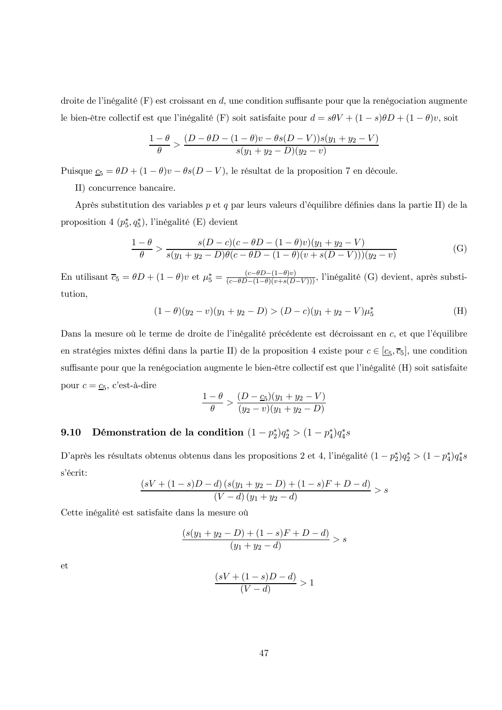droite de l'inégalité  $(F)$  est croissant en d, une condition suffisante pour que la renégociation augmente le bien-être collectif est que l'inégalité (F) soit satisfaite pour  $d = s\theta V + (1 - s)\theta D + (1 - \theta)v$ , soit

$$
\frac{1-\theta}{\theta} > \frac{(D-\theta D - (1-\theta)v - \theta s(D-V))s(y_1 + y_2 - V)}{s(y_1 + y_2 - D)(y_2 - v)}
$$

Puisque  $\underline{c}_5 = \theta D + (1 - \theta)v - \theta s(D - V)$ , le résultat de la proposition 7 en découle.

II) concurrence bancaire.

Après substitution des variables p et q par leurs valeurs d'équilibre définies dans la partie II) de la proposition 4  $(p_5^*, q_5^*)$ , l'inégalité (E) devient

$$
\frac{1-\theta}{\theta} > \frac{s(D-c)(c-\theta D - (1-\theta)v)(y_1 + y_2 - V)}{s(y_1 + y_2 - D)\theta(c-\theta D - (1-\theta)(v+s(D-V)))(y_2 - v)}
$$
(G)

En utilisant  $\overline{c}_5 = \theta D + (1 - \theta)v$  et  $\mu_5^* = \frac{(c - \theta D - (1 - \theta)v)}{(c - \theta D - (1 - \theta)(v + s(D - V)))}$ , l'inégalité (G) devient, après substitution,

$$
(1 - \theta)(y_2 - v)(y_1 + y_2 - D) > (D - c)(y_1 + y_2 - V)\mu_5^* \tag{H}
$$

Dans la mesure où le terme de droite de l'inégalité précédente est décroissant en c, et que l'équilibre en stratégies mixtes défini dans la partie II) de la proposition 4 existe pour  $c \in [\underline{c}_5, \overline{c}_5]$ , une condition suffisante pour que la renégociation augmente le bien-être collectif est que l'inégalité (H) soit satisfaite pour  $c = \underline{c}_5$ , c'est-à-dire

$$
\frac{1-\theta}{\theta} > \frac{(D-\underline{c}_5)(y_1+y_2-V)}{(y_2-v)(y_1+y_2-D)}
$$

#### Démonstration de la condition  $(1-p_2^*)q_2^* > (1-p_4^*)q_4^*s$ 9.10

D'après les résultats obtenus obtenus dans les propositions 2 et 4, l'inégalité  $(1-p_2^*)q_2^*>(1-p_4^*)q_4^*s$ s'écrit:

$$
\frac{(sV + (1 - s)D - d) (s(y_1 + y_2 - D) + (1 - s)F + D - d)}{(V - d) (y_1 + y_2 - d)} > s
$$

Cette inégalité est satisfaite dans la mesure où

$$
\frac{(s(y_1+y_2-D)+(1-s)F+D-d)}{(y_1+y_2-d)} > s
$$

et

$$
\frac{(sV+(1-s)D-d)}{(V-d)} > 1
$$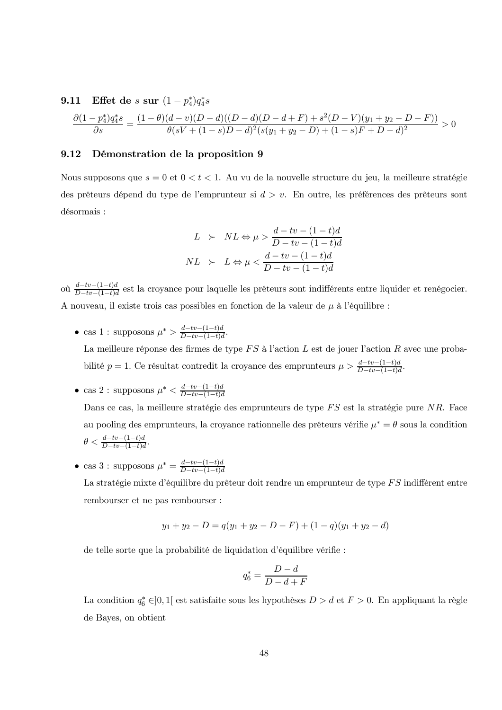9.11 Effect de *s* sur 
$$
(1 - p_4^*)q_4^*s
$$
  
\n
$$
\frac{\partial (1 - p_4^*)q_4^*s}{\partial s} = \frac{(1 - \theta)(d - v)(D - d)((D - d)(D - d + F) + s^2(D - V)(y_1 + y_2 - D - F))}{\theta(sV + (1 - s)D - d)^2(s(y_1 + y_2 - D) + (1 - s)F + D - d)^2} > 0
$$

#### 9.12 Démonstration de la proposition 9

Nous supposons que  $s = 0$  et  $0 < t < 1$ . Au vu de la nouvelle structure du jeu, la meilleure stratégie des prêteurs dépend du type de l'emprunteur si  $d > v$ . En outre, les préférences des prêteurs sont désormais :

$$
L \succ NL \Leftrightarrow \mu > \frac{d - tv - (1 - t)d}{D - tv - (1 - t)d}
$$
  

$$
NL \succ L \Leftrightarrow \mu < \frac{d - tv - (1 - t)d}{D - tv - (1 - t)d}
$$

où  $\frac{d-tv-(1-t)d}{D-tv-(1-t)d}$  est la croyance pour laquelle les prêteurs sont indifférents entre liquider et renégocier. A nouveau, il existe trois cas possibles en fonction de la valeur de  $\mu$  à l'équilibre :

• cas 1 : supposons  $\mu^* > \frac{d-tv - (1-t)d}{D-tv - (1-t)d}$ .

La meilleure réponse des firmes de type  $FS$  à l'action  $L$  est de jouer l'action  $R$  avec une probabilité  $p = 1$ . Ce résultat contredit la croyance des emprunteurs  $\mu > \frac{d-tv-(1-t)d}{D-tv-(1-t)d}$ 

au pooling des emprunteurs, la croyance rationnelle des prêteurs vérifie  $\mu^* = \theta$  sous la condition

• cas 2 : supposons  $\mu^* < \frac{d-tv-(1-t)d}{D-tv-(1-t)d}$ Dans ce cas, la meilleure stratégie des emprunteurs de type FS est la stratégie pure NR. Face

rembourser et ne pas rembourser :

$$
\theta < \frac{d - tv - (1 - t)d}{D - tv - (1 - t)d}
$$

• cas 3 : supposons  $\mu^* = \frac{d-tv - (1-t)d}{D-tv - (1-t)d}$ La stratégie mixte d'équilibre du prêteur doit rendre un emprunteur de type FS indifférent entre

 $y_1 + y_2 - D = q(y_1 + y_2 - D - F) + (1 - q)(y_1 + y_2 - d)$ 

de telle sorte que la probabilité de liquidation d'équilibre vérifie :

$$
q_6^* = \frac{D-d}{D-d+F}
$$

La condition  $q_6^* \in ]0,1[$  est satisfaite sous les hypothèses  $D > d$  et  $F > 0$ . En appliquant la règle de Bayes, on obtient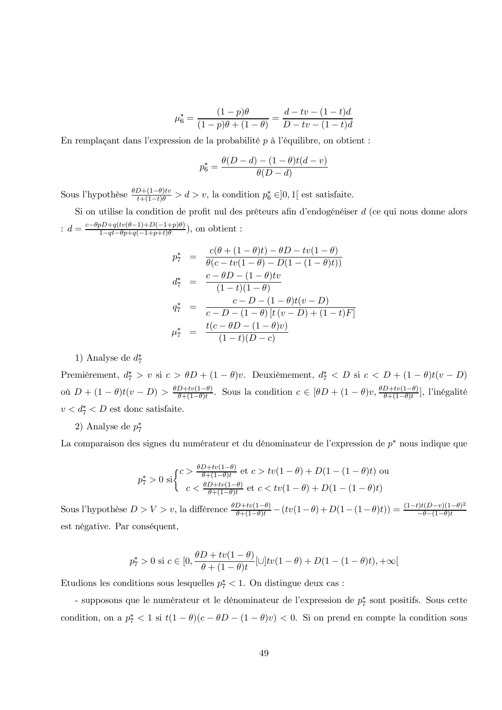$$
\mu_6^* = \frac{(1-p)\theta}{(1-p)\theta + (1-\theta)} = \frac{d-tv - (1-t)d}{D-tv - (1-t)d}
$$

En remplaçant dans l'expression de la probabilité  $p$  à l'équilibre, on obtient :

$$
p_6^* = \frac{\theta(D - d) - (1 - \theta)t(d - v)}{\theta(D - d)}
$$

Sous l'hypothèse  $\frac{\theta D+(1-\theta)tv}{t+(1-t)\theta} > d > v$ , la condition  $p_6^* \in ]0,1[$  est satisfaite.

Si on utilise la condition de profit nul des prêteurs afin d'endogénéiser  $d$  (ce qui nous donne alors :  $d = \frac{c - \theta p D + q(tv(\theta - 1) + D(-1 + p)\theta)}{1 - qt - \theta p + q(-1 + p + t)\theta}$ , on obtient :

$$
p_7^* = \frac{c(\theta + (1 - \theta)t) - \theta D - tv(1 - \theta)}{\theta(c - tv(1 - \theta) - D(1 - (1 - \theta)t))}
$$
  
\n
$$
d_7^* = \frac{c - \theta D - (1 - \theta)tv}{(1 - t)(1 - \theta)}
$$
  
\n
$$
q_7^* = \frac{c - D - (1 - \theta)t(v - D)}{c - D - (1 - \theta)[t(v - D) + (1 - t)F]}
$$
  
\n
$$
\mu_7^* = \frac{t(c - \theta D - (1 - \theta)v)}{(1 - t)(D - c)}
$$

1) Analyse de  $d_7^*$ 

Premièrement,  $d_7^* > v$  si  $c > \theta D + (1 - \theta)v$ . Deuxièmement,  $d_7^* < D$  si  $c < D + (1 - \theta)t(v - D)$ où  $D + (1 - \theta)t(v - D) > \frac{\theta D + tv(1 - \theta)}{\theta + (1 - \theta)t}$ . Sous la condition  $c \in [\theta D + (1 - \theta)v, \frac{\theta D + tv(1 - \theta)}{\theta + (1 - \theta)t}]$ , l'inégalité  $v < d_7^* < D$  est donc satisfaite.

2) Analyse de  $p_7^*$ 

La comparaison des signes du numérateur et du dénominateur de l'expression de p<sup>\*</sup> nous indique que

$$
p_7^* > 0 \text{ si } \begin{cases} c > \frac{\theta D + tv(1-\theta)}{\theta + (1-\theta)t} \text{ et } c > tv(1-\theta) + D(1-(1-\theta)t) \text{ ou} \\ c < \frac{\theta D + tv(1-\theta)}{\theta + (1-\theta)t} \text{ et } c < tv(1-\theta) + D(1-(1-\theta)t) \end{cases}
$$

Sous l'hypothèse  $D > V > v$ , la différence  $\frac{\theta D + tv(1-\theta)}{\theta + (1-\theta)t} - (tv(1-\theta) + D(1-(1-\theta)t)) = \frac{(1-t)t(D-v)(1-\theta)^2}{-\theta-(1-\theta)t}$ est négative. Par conséquent,

$$
p_7^* > 0 \text{ si } c \in [0, \frac{\theta D + tv(1 - \theta)}{\theta + (1 - \theta)t} [\cup] tv(1 - \theta) + D(1 - (1 - \theta)t), +\infty[
$$

Etudions les conditions sous lesquelles  $p_7^* < 1$ . On distingue deux cas :

- supposons que le numérateur et le dénominateur de l'expression de  $p_7^*$  sont positifs. Sous cette condition, on a  $p_7^* < 1$  si  $t(1 - \theta)(c - \theta D - (1 - \theta)v) < 0$ . Si on prend en compte la condition sous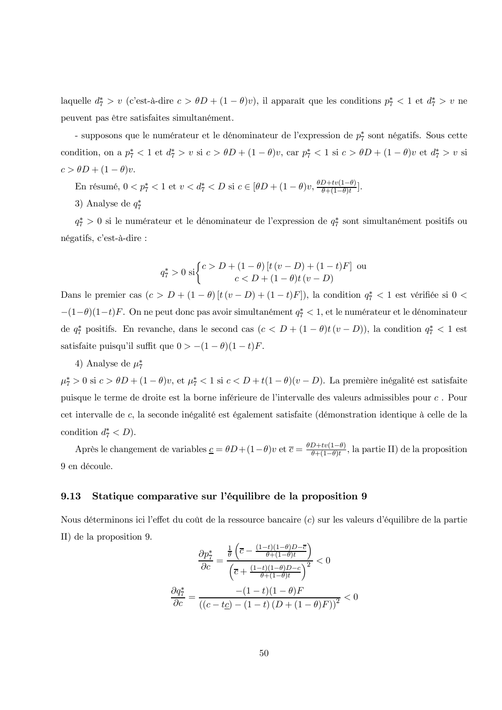laquelle  $d_7^* > v$  (c'est-à-dire  $c > \theta D + (1 - \theta)v$ ), il apparaît que les conditions  $p_7^* < 1$  et  $d_7^* > v$  ne peuvent pas être satisfaites simultanément.

- supposons que le numérateur et le dénominateur de l'expression de  $p_7^*$  sont négatifs. Sous cette condition, on a  $p_7^* < 1$  et  $d_7^* > v$  si  $c > \theta D + (1 - \theta)v$ , car  $p_7^* < 1$  si  $c > \theta D + (1 - \theta)v$  et  $d_7^* > v$  si  $c > \theta D + (1 - \theta)v.$ 

En résumé,  $0 < p_7^* < 1$  et  $v < d_7^* < D$  si  $c \in [\theta D + (1 - \theta)v, \frac{\theta D + tv(1 - \theta)}{\theta + (1 - \theta)t}]$ .

3) Analyse de  $q_7^*$ 

 $q_7^* > 0$  si le numérateur et le dénominateur de l'expression de  $q_7^*$  sont simultanément positifs ou négatifs, c'est-à-dire :

$$
q_7^* > 0 \text{ si } \begin{cases} c > D + (1 - \theta) \left[ t \left( v - D \right) + (1 - t) F \right] \text{ ou} \\ c < D + (1 - \theta) t \left( v - D \right) \end{cases}
$$

Dans le premier cas  $(c > D + (1 - \theta) [t (v - D) + (1 - t)F])$ , la condition  $q_7^* < 1$  est vérifiée si  $0 <$  $-(1-\theta)(1-t)F$ . On ne peut donc pas avoir simultanément  $q_7^* < 1$ , et le numérateur et le dénominateur de  $q_7^*$  positifs. En revanche, dans le second cas  $(c < D + (1 - \theta)t(v - D))$ , la condition  $q_7^* < 1$  est satisfaite puisqu'il suffit que  $0 > -(1 - \theta)(1 - t)F$ .

### 4) Analyse de  $\mu_7^*$

 $\mu_7^* > 0$  si  $c > \theta D + (1 - \theta)v$ , et  $\mu_7^* < 1$  si  $c < D + t(1 - \theta)(v - D)$ . La première inégalité est satisfaite puisque le terme de droite est la borne inférieure de l'intervalle des valeurs admissibles pour c. Pour cet intervalle de c, la seconde inégalité est également satisfaite (démonstration identique à celle de la condition  $d_7^* < D$ ).

Après le changement de variables  $\underline{c} = \theta D + (1 - \theta)v$  et  $\overline{c} = \frac{\theta D + tv(1 - \theta)}{\theta + (1 - \theta)t}$ , la partie II) de la proposition  $9$ en découle.

#### 9.13 Statique comparative sur l'équilibre de la proposition 9

Nous déterminons ici l'effet du coût de la ressource bancaire (c) sur les valeurs d'équilibre de la partie II) de la proposition 9.

$$
\frac{\partial p_7^*}{\partial c} = \frac{\frac{1}{\theta} \left( \overline{c} - \frac{(1-t)(1-\theta)D - \overline{c}}{\theta + (1-\theta)t} \right)}{\left( \overline{c} + \frac{(1-t)(1-\theta)D - c}{\theta + (1-\theta)t} \right)^2} < 0
$$

$$
\frac{\partial q_7^*}{\partial c} = \frac{-(1-t)(1-\theta)F}{\left( (c - t\underline{c}) - (1-t)(D + (1-\theta)F) \right)^2} < 0
$$